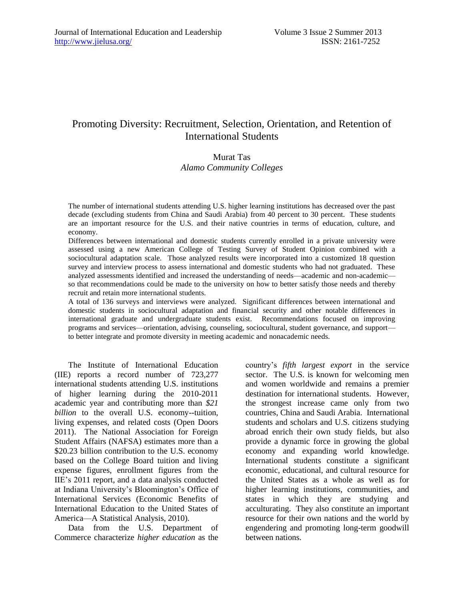# Promoting Diversity: Recruitment, Selection, Orientation, and Retention of International Students

## Murat Tas

# *Alamo Community Colleges*

The number of international students attending U.S. higher learning institutions has decreased over the past decade (excluding students from China and Saudi Arabia) from 40 percent to 30 percent. These students are an important resource for the U.S. and their native countries in terms of education, culture, and economy.

Differences between international and domestic students currently enrolled in a private university were assessed using a new American College of Testing Survey of Student Opinion combined with a sociocultural adaptation scale. Those analyzed results were incorporated into a customized 18 question survey and interview process to assess international and domestic students who had not graduated. These analyzed assessments identified and increased the understanding of needs—academic and non-academic so that recommendations could be made to the university on how to better satisfy those needs and thereby recruit and retain more international students.

A total of 136 surveys and interviews were analyzed. Significant differences between international and domestic students in sociocultural adaptation and financial security and other notable differences in international graduate and undergraduate students exist. Recommendations focused on improving programs and services—orientation, advising, counseling, sociocultural, student governance, and support to better integrate and promote diversity in meeting academic and nonacademic needs.

The Institute of International Education (IIE) reports a record number of 723,277 international students attending U.S. institutions of higher learning during the 2010-2011 academic year and contributing more than *\$21 billion* to the overall U.S. economy--tuition, living expenses, and related costs (Open Doors 2011). The National Association for Foreign Student Affairs (NAFSA) estimates more than a \$20.23 billion contribution to the U.S. economy based on the College Board tuition and living expense figures, enrollment figures from the IIE's 2011 report, and a data analysis conducted at Indiana University's Bloomington's Office of International Services (Economic Benefits of International Education to the United States of America—A Statistical Analysis, 2010).

Data from the U.S. Department of Commerce characterize *higher education* as the

country's *fifth largest export* in the service sector. The U.S. is known for welcoming men and women worldwide and remains a premier destination for international students. However, the strongest increase came only from two countries, China and Saudi Arabia. International students and scholars and U.S. citizens studying abroad enrich their own study fields, but also provide a dynamic force in growing the global economy and expanding world knowledge. International students constitute a significant economic, educational, and cultural resource for the United States as a whole as well as for higher learning institutions, communities, and states in which they are studying and acculturating. They also constitute an important resource for their own nations and the world by engendering and promoting long-term goodwill between nations.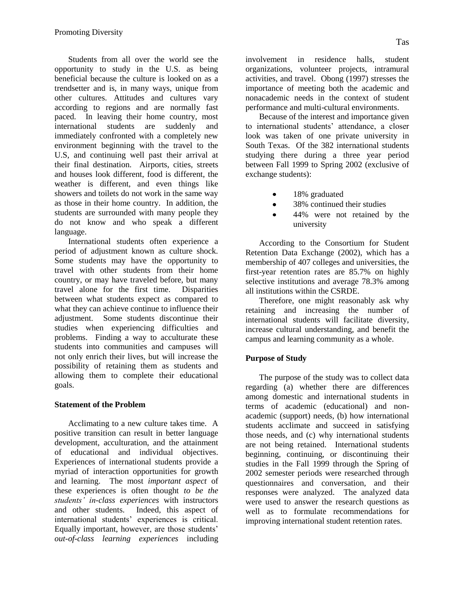Students from all over the world see the opportunity to study in the U.S. as being beneficial because the culture is looked on as a trendsetter and is, in many ways, unique from other cultures. Attitudes and cultures vary according to regions and are normally fast paced. In leaving their home country, most international students are suddenly and immediately confronted with a completely new environment beginning with the travel to the U.S, and continuing well past their arrival at their final destination. Airports, cities, streets and houses look different, food is different, the weather is different, and even things like showers and toilets do not work in the same way as those in their home country. In addition, the students are surrounded with many people they do not know and who speak a different language.

International students often experience a period of adjustment known as culture shock. Some students may have the opportunity to travel with other students from their home country, or may have traveled before, but many travel alone for the first time. Disparities between what students expect as compared to what they can achieve continue to influence their adjustment. Some students discontinue their studies when experiencing difficulties and problems. Finding a way to acculturate these students into communities and campuses will not only enrich their lives, but will increase the possibility of retaining them as students and allowing them to complete their educational goals.

# **Statement of the Problem**

Acclimating to a new culture takes time. A positive transition can result in better language development, acculturation, and the attainment of educational and individual objectives. Experiences of international students provide a myriad of interaction opportunities for growth and learning. The most *important aspect* of these experiences is often thought *to be the students' in-class experiences* with instructors and other students. Indeed, this aspect of international students' experiences is critical. Equally important, however, are those students' *out-of-class learning experiences* including

involvement in residence halls, student organizations, volunteer projects, intramural activities, and travel. Obong (1997) stresses the importance of meeting both the academic and nonacademic needs in the context of student performance and multi-cultural environments.

Because of the interest and importance given to international students' attendance, a closer look was taken of one private university in South Texas. Of the 382 international students studying there during a three year period between Fall 1999 to Spring 2002 (exclusive of exchange students):

- 18% graduated
- 38% continued their studies  $\bullet$
- 44% were not retained by the university

According to the Consortium for Student Retention Data Exchange (2002), which has a membership of 407 colleges and universities, the first-year retention rates are 85.7% on highly selective institutions and average 78.3% among all institutions within the CSRDE.

Therefore, one might reasonably ask why retaining and increasing the number of international students will facilitate diversity, increase cultural understanding, and benefit the campus and learning community as a whole.

# **Purpose of Study**

The purpose of the study was to collect data regarding (a) whether there are differences among domestic and international students in terms of academic (educational) and nonacademic (support) needs, (b) how international students acclimate and succeed in satisfying those needs, and (c) why international students are not being retained. International students beginning, continuing, or discontinuing their studies in the Fall 1999 through the Spring of 2002 semester periods were researched through questionnaires and conversation, and their responses were analyzed. The analyzed data were used to answer the research questions as well as to formulate recommendations for improving international student retention rates.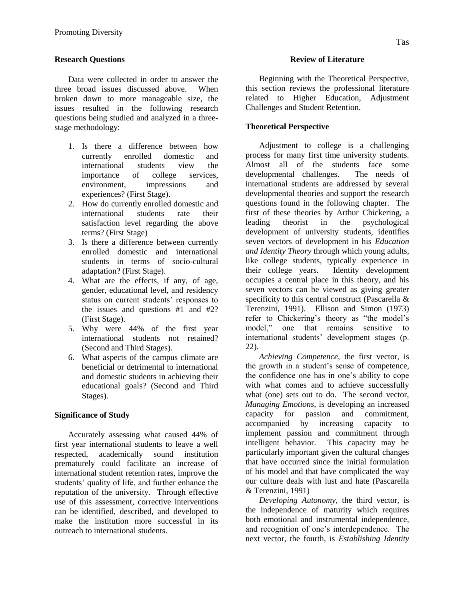## **Research Questions**

Data were collected in order to answer the three broad issues discussed above. When broken down to more manageable size, the issues resulted in the following research questions being studied and analyzed in a threestage methodology:

- 1. Is there a difference between how currently enrolled domestic and international students view the importance of college services, environment, impressions and experiences? (First Stage).
- 2. How do currently enrolled domestic and international students rate their satisfaction level regarding the above terms? (First Stage)
- 3. Is there a difference between currently enrolled domestic and international students in terms of socio-cultural adaptation? (First Stage).
- 4. What are the effects, if any, of age, gender, educational level, and residency status on current students' responses to the issues and questions #1 and #2? (First Stage).
- 5. Why were 44% of the first year international students not retained? (Second and Third Stages).
- 6. What aspects of the campus climate are beneficial or detrimental to international and domestic students in achieving their educational goals? (Second and Third Stages).

# **Significance of Study**

Accurately assessing what caused 44% of first year international students to leave a well respected, academically sound institution prematurely could facilitate an increase of international student retention rates, improve the students' quality of life, and further enhance the reputation of the university. Through effective use of this assessment, corrective interventions can be identified, described, and developed to make the institution more successful in its outreach to international students.

### **Review of Literature**

Beginning with the Theoretical Perspective, this section reviews the professional literature related to Higher Education, Adjustment Challenges and Student Retention.

## **Theoretical Perspective**

Adjustment to college is a challenging process for many first time university students. Almost all of the students face some developmental challenges. The needs of international students are addressed by several developmental theories and support the research questions found in the following chapter. The first of these theories by Arthur Chickering, a leading theorist in the psychological development of university students, identifies seven vectors of development in his *Education and Identity Theory* through which young adults, like college students, typically experience in their college years. Identity development occupies a central place in this theory, and his seven vectors can be viewed as giving greater specificity to this central construct (Pascarella & Terenzini, 1991). Ellison and Simon (1973) refer to Chickering's theory as "the model's model," one that remains sensitive to international students' development stages (p. 22).

*Achieving Competence*, the first vector, is the growth in a student's sense of competence, the confidence one has in one's ability to cope with what comes and to achieve successfully what (one) sets out to do. The second vector, *Managing Emotions,* is developing an increased capacity for passion and commitment, accompanied by increasing capacity to implement passion and commitment through intelligent behavior. This capacity may be particularly important given the cultural changes that have occurred since the initial formulation of his model and that have complicated the way our culture deals with lust and hate (Pascarella & Terenzini, 1991)

*Developing Autonomy*, the third vector, is the independence of maturity which requires both emotional and instrumental independence, and recognition of one's interdependence. The next vector, the fourth, is *Establishing Identity*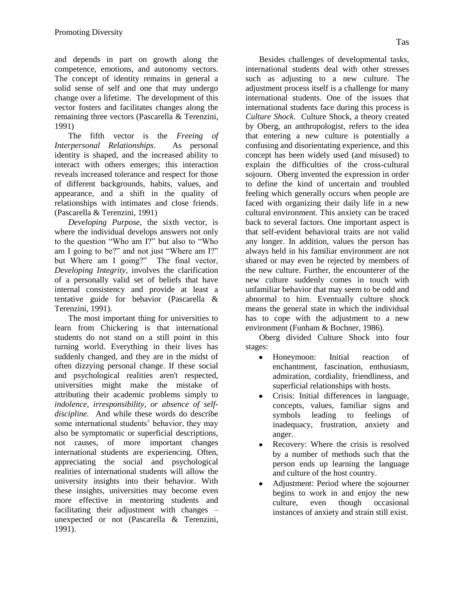and depends in part on growth along the competence, emotions, and autonomy vectors. The concept of identity remains in general a solid sense of self and one that may undergo change over a lifetime. The development of this vector fosters and facilitates changes along the remaining three vectors (Pascarella & Terenzini, 1991)

The fifth vector is the *Freeing of Interpersonal Relationships*. As personal identity is shaped, and the increased ability to interact with others emerges; this interaction reveals increased tolerance and respect for those of different backgrounds, habits, values, and appearance, and a shift in the quality of relationships with intimates and close friends. (Pascarella & Terenzini, 1991)

*Developing Purpose*, the sixth vector, is where the individual develops answers not only to the question "Who am I?" but also to "Who am I going to be?" and not just "Where am I?" but Where am I going?" The final vector, *Developing Integrity*, involves the clarification of a personally valid set of beliefs that have internal consistency and provide at least a tentative guide for behavior (Pascarella & Terenzini, 1991).

The most important thing for universities to learn from Chickering is that international students do not stand on a still point in this turning world. Everything in their lives has suddenly changed, and they are in the midst of often dizzying personal change. If these social and psychological realities aren't respected, universities might make the mistake of attributing their academic problems simply to *indolence, irresponsibility, or absence of selfdiscipline.* And while these words do describe some international students' behavior, they may also be symptomatic or superficial descriptions, not causes, of more important changes international students are experiencing. Often, appreciating the social and psychological realities of international students will allow the university insights into their behavior. With these insights, universities may become even more effective in mentoring students and facilitating their adjustment with changes – unexpected or not (Pascarella & Terenzini, 1991).

Besides challenges of developmental tasks, international students deal with other stresses such as adjusting to a new culture. The adjustment process itself is a challenge for many international students. One of the issues that international students face during this process is *Culture Shock*. Culture Shock, a theory created by Oberg, an anthropologist, refers to the idea that entering a new culture is potentially a confusing and disorientating experience, and this concept has been widely used (and misused) to explain the difficulties of the cross-cultural sojourn. Oberg invented the expression in order to define the kind of uncertain and troubled feeling which generally occurs when people are faced with organizing their daily life in a new cultural environment. This anxiety can be traced back to several factors. One important aspect is that self-evident behavioral traits are not valid any longer. In addition, values the person has always held in his familiar environment are not shared or may even be rejected by members of the new culture. Further, the encounterer of the new culture suddenly comes in touch with unfamiliar behavior that may seem to be odd and abnormal to him. Eventually culture shock means the general state in which the individual has to cope with the adjustment to a new environment (Funham & Bochner, 1986).

Oberg divided Culture Shock into four stages:

- $\bullet$ Honeymoon: Initial reaction of enchantment, fascination, enthusiasm, admiration, cordiality, friendliness, and superficial relationships with hosts.
- Crisis: Initial differences in language,  $\bullet$ concepts, values, familiar signs and symbols leading to feelings of inadequacy, frustration, anxiety and anger.
- Recovery: Where the crisis is resolved  $\bullet$ by a number of methods such that the person ends up learning the language and culture of the host country.
- Adjustment: Period where the sojourner  $\bullet$ begins to work in and enjoy the new culture, even though occasional instances of anxiety and strain still exist.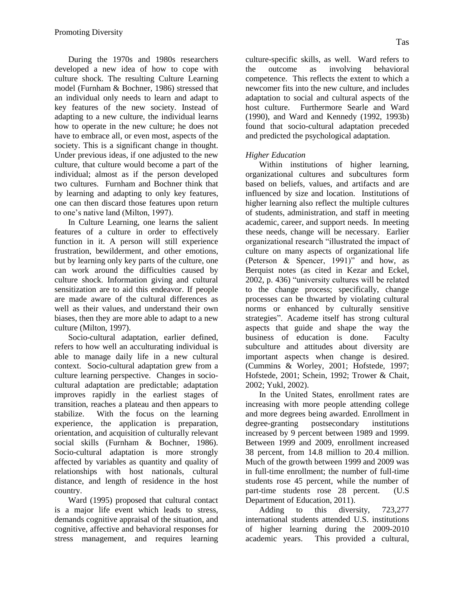During the 1970s and 1980s researchers developed a new idea of how to cope with culture shock. The resulting Culture Learning model (Furnham & Bochner, 1986) stressed that an individual only needs to learn and adapt to key features of the new society. Instead of adapting to a new culture, the individual learns how to operate in the new culture; he does not have to embrace all, or even most, aspects of the society. This is a significant change in thought. Under previous ideas, if one adjusted to the new culture, that culture would become a part of the individual; almost as if the person developed two cultures. Furnham and Bochner think that by learning and adapting to only key features, one can then discard those features upon return to one's native land (Milton, 1997).

In Culture Learning, one learns the salient features of a culture in order to effectively function in it. A person will still experience frustration, bewilderment, and other emotions, but by learning only key parts of the culture, one can work around the difficulties caused by culture shock. Information giving and cultural sensitization are to aid this endeavor. If people are made aware of the cultural differences as well as their values, and understand their own biases, then they are more able to adapt to a new culture (Milton, 1997).

Socio-cultural adaptation, earlier defined, refers to how well an acculturating individual is able to manage daily life in a new cultural context. Socio-cultural adaptation grew from a culture learning perspective. Changes in sociocultural adaptation are predictable; adaptation improves rapidly in the earliest stages of transition, reaches a plateau and then appears to stabilize. With the focus on the learning experience, the application is preparation, orientation, and acquisition of culturally relevant social skills (Furnham & Bochner, 1986). Socio-cultural adaptation is more strongly affected by variables as quantity and quality of relationships with host nationals, cultural distance, and length of residence in the host country.

Ward (1995) proposed that cultural contact is a major life event which leads to stress, demands cognitive appraisal of the situation, and cognitive, affective and behavioral responses for stress management, and requires learning

culture-specific skills, as well. Ward refers to the outcome as involving behavioral competence. This reflects the extent to which a newcomer fits into the new culture, and includes adaptation to social and cultural aspects of the host culture. Furthermore Searle and Ward (1990), and Ward and Kennedy (1992, 1993b) found that socio-cultural adaptation preceded and predicted the psychological adaptation.

# *Higher Education*

Within institutions of higher learning, organizational cultures and subcultures form based on beliefs, values, and artifacts and are influenced by size and location. Institutions of higher learning also reflect the multiple cultures of students, administration, and staff in meeting academic, career, and support needs. In meeting these needs, change will be necessary. Earlier organizational research "illustrated the impact of culture on many aspects of organizational life (Peterson & Spencer, 1991)" and how, as Berquist notes (as cited in Kezar and Eckel, 2002, p. 436) "university cultures will be related to the change process; specifically, change processes can be thwarted by violating cultural norms or enhanced by culturally sensitive strategies". Academe itself has strong cultural aspects that guide and shape the way the business of education is done. Faculty subculture and attitudes about diversity are important aspects when change is desired. (Cummins & Worley, 2001; Hofstede, 1997; Hofstede, 2001; Schein, 1992; Trower & Chait, 2002; Yukl, 2002).

In the United States, enrollment rates are increasing with more people attending college and more degrees being awarded. Enrollment in degree-granting postsecondary institutions increased by 9 percent between 1989 and 1999. Between 1999 and 2009, enrollment increased 38 percent, from 14.8 million to 20.4 million. Much of the growth between 1999 and 2009 was in full-time enrollment; the number of full-time students rose 45 percent, while the number of part-time students rose 28 percent. (U.S Department of Education, 2011).

Adding to this diversity, 723,277 international students attended U.S. institutions of higher learning during the 2009-2010 academic years. This provided a cultural,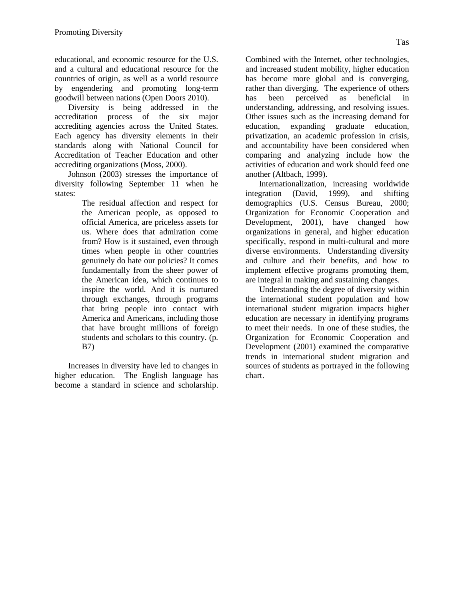educational, and economic resource for the U.S. and a cultural and educational resource for the countries of origin, as well as a world resource by engendering and promoting long-term goodwill between nations (Open Doors 2010).

Diversity is being addressed in the accreditation process of the six major accrediting agencies across the United States. Each agency has diversity elements in their standards along with National Council for Accreditation of Teacher Education and other accrediting organizations (Moss, 2000).

Johnson (2003) stresses the importance of diversity following September 11 when he states:

The residual affection and respect for the American people, as opposed to official America, are priceless assets for us. Where does that admiration come from? How is it sustained, even through times when people in other countries genuinely do hate our policies? It comes fundamentally from the sheer power of the American idea, which continues to inspire the world. And it is nurtured through exchanges, through programs that bring people into contact with America and Americans, including those that have brought millions of foreign students and scholars to this country. (p. B7)

Increases in diversity have led to changes in higher education. The English language has become a standard in science and scholarship.

Combined with the Internet, other technologies, and increased student mobility, higher education has become more global and is converging, rather than diverging. The experience of others has been perceived as beneficial in understanding, addressing, and resolving issues. Other issues such as the increasing demand for education, expanding graduate education, privatization, an academic profession in crisis, and accountability have been considered when comparing and analyzing include how the activities of education and work should feed one another (Altbach, 1999).

Internationalization, increasing worldwide integration (David, 1999), and shifting demographics (U.S. Census Bureau, 2000; Organization for Economic Cooperation and Development, 2001), have changed how organizations in general, and higher education specifically, respond in multi-cultural and more diverse environments. Understanding diversity and culture and their benefits, and how to implement effective programs promoting them, are integral in making and sustaining changes.

Understanding the degree of diversity within the international student population and how international student migration impacts higher education are necessary in identifying programs to meet their needs. In one of these studies, the Organization for Economic Cooperation and Development (2001) examined the comparative trends in international student migration and sources of students as portrayed in the following chart.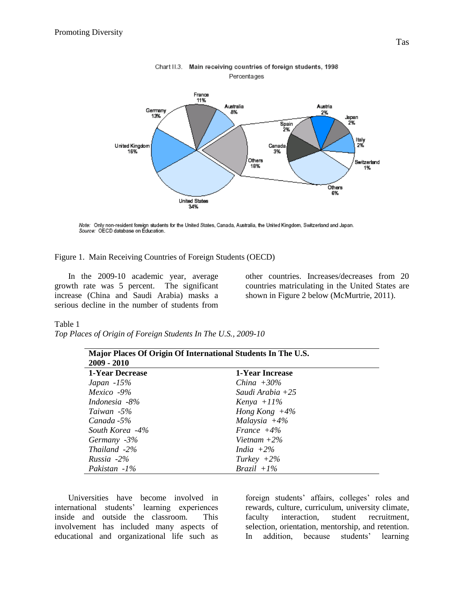

#### Chart II.3. Main receiving countries of foreign students, 1998 Percentages

Note: Only non-resident foreign students for the United States, Canada, Australia, the United Kingdom, Switzerland and Japan. Source: OECD database on Education.

Figure 1. Main Receiving Countries of Foreign Students (OECD)

In the 2009-10 academic year, average growth rate was 5 percent. The significant increase (China and Saudi Arabia) masks a serious decline in the number of students from other countries. Increases/decreases from 20 countries matriculating in the United States are shown in Figure 2 below (McMurtrie, 2011).

#### Table 1

*Top Places of Origin of Foreign Students In The U.S., 2009-10*

| Major Places Of Origin Of International Students In The U.S. |                  |  |  |  |
|--------------------------------------------------------------|------------------|--|--|--|
| $2009 - 2010$                                                |                  |  |  |  |
| 1-Year Decrease                                              | 1-Year Increase  |  |  |  |
| Japan $-15%$                                                 | China $+30\%$    |  |  |  |
| Mexico $-9\%$                                                | Saudi Arabia +25 |  |  |  |
| Indonesia $-8\%$                                             | Kenya $+11\%$    |  |  |  |
| Taiwan -5%                                                   | Hong Kong $+4\%$ |  |  |  |
| Canada -5%                                                   | Malaysia $+4\%$  |  |  |  |
| South Korea -4%                                              | France $+4\%$    |  |  |  |
| Germany $-3\%$                                               | Vietnam $+2\%$   |  |  |  |
| Thailand $-2\%$                                              | India $+2\%$     |  |  |  |
| Russia -2%                                                   | Turkey $+2\%$    |  |  |  |
| Pakistan -1%                                                 | $Brazil +1%$     |  |  |  |

Universities have become involved in international students' learning experiences inside and outside the classroom. This involvement has included many aspects of educational and organizational life such as foreign students' affairs, colleges' roles and rewards, culture, curriculum, university climate, faculty interaction, student recruitment, selection, orientation, mentorship, and retention. In addition, because students' learning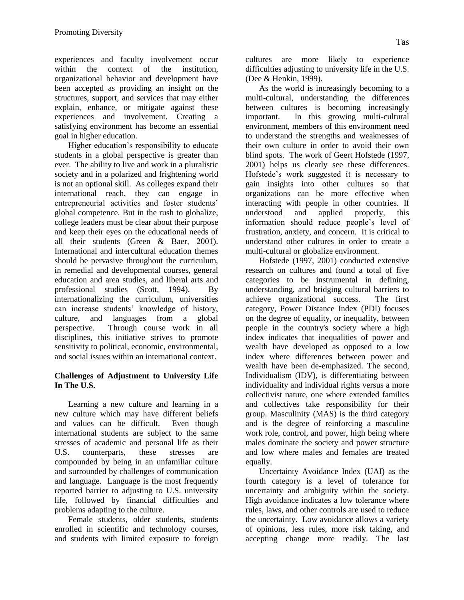experiences and faculty involvement occur within the context of the institution. organizational behavior and development have been accepted as providing an insight on the structures, support, and services that may either explain, enhance, or mitigate against these experiences and involvement. Creating a satisfying environment has become an essential goal in higher education.

Higher education's responsibility to educate students in a global perspective is greater than ever. The ability to live and work in a pluralistic society and in a polarized and frightening world is not an optional skill. As colleges expand their international reach, they can engage in entrepreneurial activities and foster students' global competence. But in the rush to globalize, college leaders must be clear about their purpose and keep their eyes on the educational needs of all their students (Green & Baer, 2001). International and intercultural education themes should be pervasive throughout the curriculum, in remedial and developmental courses, general education and area studies, and liberal arts and professional studies (Scott, 1994). By internationalizing the curriculum, universities can increase students' knowledge of history, culture, and languages from a global perspective. Through course work in all disciplines, this initiative strives to promote sensitivity to political, economic, environmental, and social issues within an international context.

# **Challenges of Adjustment to University Life In The U.S.**

Learning a new culture and learning in a new culture which may have different beliefs and values can be difficult. Even though international students are subject to the same stresses of academic and personal life as their U.S. counterparts, these stresses are compounded by being in an unfamiliar culture and surrounded by challenges of communication and language. Language is the most frequently reported barrier to adjusting to U.S. university life, followed by financial difficulties and problems adapting to the culture.

Female students, older students, students enrolled in scientific and technology courses, and students with limited exposure to foreign cultures are more likely to experience difficulties adjusting to university life in the U.S. (Dee & Henkin, 1999).

As the world is increasingly becoming to a multi-cultural, understanding the differences between cultures is becoming increasingly important. In this growing multi-cultural environment, members of this environment need to understand the strengths and weaknesses of their own culture in order to avoid their own blind spots. The work of Geert Hofstede (1997, 2001) helps us clearly see these differences. Hofstede's work suggested it is necessary to gain insights into other cultures so that organizations can be more effective when interacting with people in other countries. If understood and applied properly, this information should reduce people's level of frustration, anxiety, and concern. It is critical to understand other cultures in order to create a multi-cultural or globalize environment.

Hofstede (1997, 2001) conducted extensive research on cultures and found a total of five categories to be instrumental in defining, understanding, and bridging cultural barriers to achieve organizational success. The first category, Power Distance Index (PDI) focuses on the degree of equality, or inequality, between people in the country's society where a high index indicates that inequalities of power and wealth have developed as opposed to a low index where differences between power and wealth have been de-emphasized. The second, Individualism (IDV), is differentiating between individuality and individual rights versus a more collectivist nature, one where extended families and collectives take responsibility for their group. Masculinity (MAS) is the third category and is the degree of reinforcing a masculine work role, control, and power, high being where males dominate the society and power structure and low where males and females are treated equally.

Uncertainty Avoidance Index (UAI) as the fourth category is a level of tolerance for uncertainty and ambiguity within the society. High avoidance indicates a low tolerance where rules, laws, and other controls are used to reduce the uncertainty. Low avoidance allows a variety of opinions, less rules, more risk taking, and accepting change more readily. The last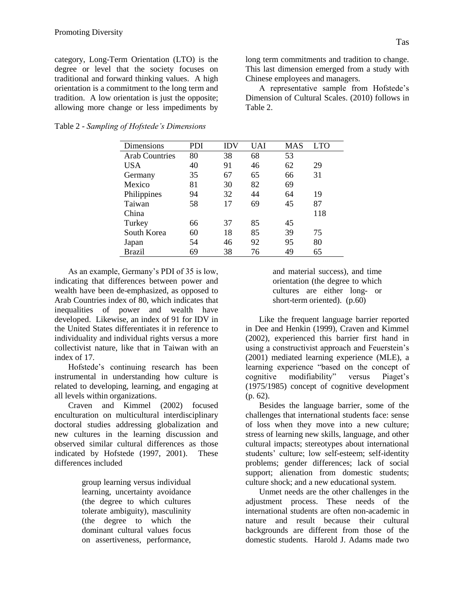category, Long-Term Orientation (LTO) is the degree or level that the society focuses on traditional and forward thinking values. A high orientation is a commitment to the long term and tradition. A low orientation is just the opposite; allowing more change or less impediments by

Table 2 - *Sampling of Hofstede's Dimensions*

| Dimensions            | <b>PDI</b> | IDV | UAI | <b>MAS</b> | <b>LTO</b> |
|-----------------------|------------|-----|-----|------------|------------|
| <b>Arab Countries</b> | 80         | 38  | 68  | 53         |            |
| <b>USA</b>            | 40         | 91  | 46  | 62         | 29         |
| Germany               | 35         | 67  | 65  | 66         | 31         |
| Mexico                | 81         | 30  | 82  | 69         |            |
| Philippines           | 94         | 32  | 44  | 64         | 19         |
| Taiwan                | 58         | 17  | 69  | 45         | 87         |
| China                 |            |     |     |            | 118        |
| Turkey                | 66         | 37  | 85  | 45         |            |
| South Korea           | 60         | 18  | 85  | 39         | 75         |
| Japan                 | 54         | 46  | 92  | 95         | 80         |
| <b>Brazil</b>         | 69         | 38  | 76  | 49         | 65         |

As an example, Germany's PDI of 35 is low, indicating that differences between power and wealth have been de-emphasized, as opposed to Arab Countries index of 80, which indicates that inequalities of power and wealth have developed. Likewise, an index of 91 for IDV in the United States differentiates it in reference to individuality and individual rights versus a more collectivist nature, like that in Taiwan with an index of 17.

Hofstede's continuing research has been instrumental in understanding how culture is related to developing, learning, and engaging at all levels within organizations.

Craven and Kimmel (2002) focused enculturation on multicultural interdisciplinary doctoral studies addressing globalization and new cultures in the learning discussion and observed similar cultural differences as those indicated by Hofstede (1997, 2001). These differences included

> group learning versus individual learning, uncertainty avoidance (the degree to which cultures tolerate ambiguity), masculinity (the degree to which the dominant cultural values focus on assertiveness, performance,

and material success), and time orientation (the degree to which cultures are either long- or short-term oriented). (p.60)

Like the frequent language barrier reported in Dee and Henkin (1999), Craven and Kimmel (2002), experienced this barrier first hand in using a constructivist approach and Feuerstein's (2001) mediated learning experience (MLE), a learning experience "based on the concept of cognitive modifiability" versus Piaget's (1975/1985) concept of cognitive development (p. 62).

Besides the language barrier, some of the challenges that international students face: sense of loss when they move into a new culture; stress of learning new skills, language, and other cultural impacts; stereotypes about international students' culture; low self-esteem; self-identity problems; gender differences; lack of social support; alienation from domestic students; culture shock; and a new educational system.

Unmet needs are the other challenges in the adjustment process. These needs of the international students are often non-academic in nature and result because their cultural backgrounds are different from those of the domestic students. Harold J. Adams made two

long term commitments and tradition to change. This last dimension emerged from a study with Chinese employees and managers.

A representative sample from Hofstede's Dimension of Cultural Scales. (2010) follows in Table 2.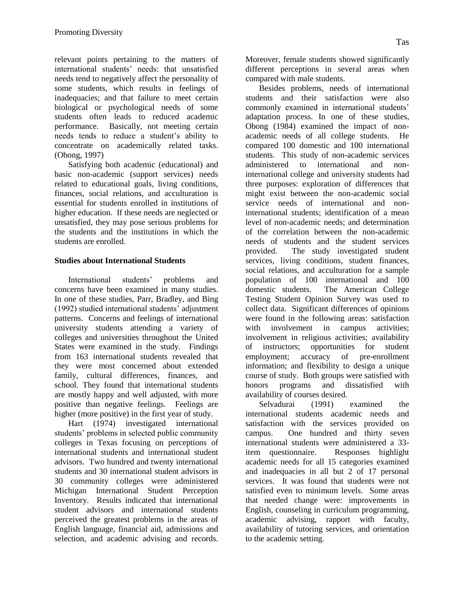relevant points pertaining to the matters of international students' needs: that unsatisfied needs tend to negatively affect the personality of some students, which results in feelings of inadequacies; and that failure to meet certain biological or psychological needs of some students often leads to reduced academic performance. Basically, not meeting certain needs tends to reduce a student's ability to concentrate on academically related tasks. (Obong, 1997)

Satisfying both academic (educational) and basic non-academic (support services) needs related to educational goals, living conditions, finances, social relations, and acculturation is essential for students enrolled in institutions of higher education. If these needs are neglected or unsatisfied, they may pose serious problems for the students and the institutions in which the students are enrolled.

## **Studies about International Students**

International students' problems and concerns have been examined in many studies. In one of these studies, Parr, Bradley, and Bing (1992) studied international students' adjustment patterns. Concerns and feelings of international university students attending a variety of colleges and universities throughout the United States were examined in the study. Findings from 163 international students revealed that they were most concerned about extended family, cultural differences, finances, and school. They found that international students are mostly happy and well adjusted, with more positive than negative feelings. Feelings are higher (more positive) in the first year of study.

Hart (1974) investigated international students' problems in selected public community colleges in Texas focusing on perceptions of international students and international student advisors. Two hundred and twenty international students and 30 international student advisors in 30 community colleges were administered Michigan International Student Perception Inventory. Results indicated that international student advisors and international students perceived the greatest problems in the areas of English language, financial aid, admissions and selection, and academic advising and records.

Moreover, female students showed significantly different perceptions in several areas when compared with male students.

Besides problems, needs of international students and their satisfaction were also commonly examined in international students' adaptation process. In one of these studies, Obong (1984) examined the impact of nonacademic needs of all college students. He compared 100 domestic and 100 international students. This study of non-academic services administered to international and noninternational college and university students had three purposes: exploration of differences that might exist between the non-academic social service needs of international and noninternational students; identification of a mean level of non-academic needs; and determination of the correlation between the non-academic needs of students and the student services provided. The study investigated student services, living conditions, student finances, social relations, and acculturation for a sample population of 100 international and 100 domestic students. The American College Testing Student Opinion Survey was used to collect data. Significant differences of opinions were found in the following areas: satisfaction with involvement in campus activities; involvement in religious activities; availability of instructors; opportunities for student employment; accuracy of pre-enrollment information; and flexibility to design a unique course of study. Both groups were satisfied with honors programs and dissatisfied with availability of courses desired.

Selvadurai (1991) examined the international students academic needs and satisfaction with the services provided on campus. One hundred and thirty seven international students were administered a 33 item questionnaire. Responses highlight academic needs for all 15 categories examined and inadequacies in all but 2 of 17 personal services. It was found that students were not satisfied even to minimum levels. Some areas that needed change were: improvements in English, counseling in curriculum programming, academic advising, rapport with faculty, availability of tutoring services, and orientation to the academic setting.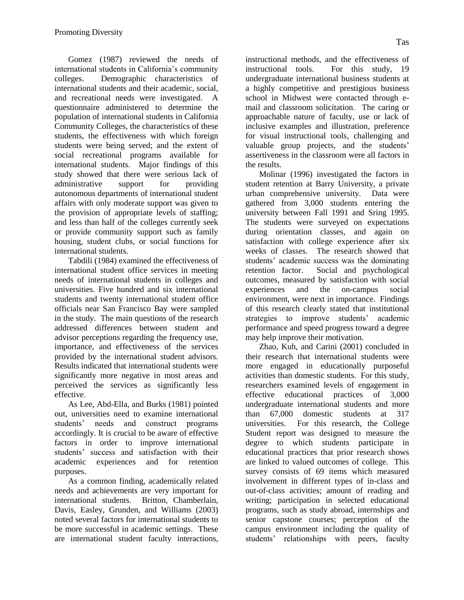Gomez (1987) reviewed the needs of international students in California's community colleges. Demographic characteristics of international students and their academic, social, and recreational needs were investigated. A questionnaire administered to determine the population of international students in California Community Colleges, the characteristics of these students, the effectiveness with which foreign students were being served; and the extent of social recreational programs available for international students. Major findings of this study showed that there were serious lack of administrative support for providing autonomous departments of international student affairs with only moderate support was given to the provision of appropriate levels of staffing; and less than half of the colleges currently seek or provide community support such as family housing, student clubs, or social functions for international students.

Tabdili (1984) examined the effectiveness of international student office services in meeting needs of international students in colleges and universities. Five hundred and six international students and twenty international student office officials near San Francisco Bay were sampled in the study. The main questions of the research addressed differences between student and advisor perceptions regarding the frequency use, importance, and effectiveness of the services provided by the international student advisors. Results indicated that international students were significantly more negative in most areas and perceived the services as significantly less effective.

As Lee, Abd-Ella, and Burks (1981) pointed out, universities need to examine international students' needs and construct programs accordingly. It is crucial to be aware of effective factors in order to improve international students' success and satisfaction with their academic experiences and for retention purposes.

As a common finding, academically related needs and achievements are very important for international students. Britton, Chamberlain, Davis, Easley, Grunden, and Williams (2003) noted several factors for international students to be more successful in academic settings. These are international student faculty interactions,

instructional methods, and the effectiveness of instructional tools. For this study, 19 undergraduate international business students at a highly competitive and prestigious business school in Midwest were contacted through email and classroom solicitation. The caring or approachable nature of faculty, use or lack of inclusive examples and illustration, preference for visual instructional tools, challenging and valuable group projects, and the students' assertiveness in the classroom were all factors in the results.

Molinar (1996) investigated the factors in student retention at Barry University, a private urban comprehensive university. Data were gathered from 3,000 students entering the university between Fall 1991 and Sring 1995. The students were surveyed on expectations during orientation classes, and again on satisfaction with college experience after six weeks of classes. The research showed that students' academic success was the dominating retention factor. Social and psychological outcomes, measured by satisfaction with social experiences and the on-campus social environment, were next in importance. Findings of this research clearly stated that institutional strategies to improve students' academic performance and speed progress toward a degree may help improve their motivation.

Zhao, Kuh, and Carini (2001) concluded in their research that international students were more engaged in educationally purposeful activities than domestic students. For this study, researchers examined levels of engagement in effective educational practices of 3,000 undergraduate international students and more than 67,000 domestic students at 317 universities. For this research, the College Student report was designed to measure the degree to which students participate in educational practices that prior research shows are linked to valued outcomes of college. This survey consists of 69 items which measured involvement in different types of in-class and out-of-class activities; amount of reading and writing; participation in selected educational programs, such as study abroad, internships and senior capstone courses; perception of the campus environment including the quality of students' relationships with peers, faculty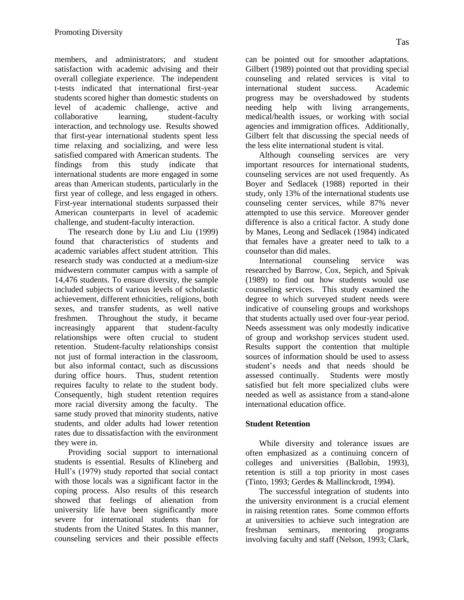members, and administrators; and student satisfaction with academic advising and their overall collegiate experience. The independent t-tests indicated that international first-year students scored higher than domestic students on level of academic challenge, active and collaborative learning, student-faculty interaction, and technology use. Results showed that first-year international students spent less time relaxing and socializing, and were less satisfied compared with American students. The findings from this study indicate that international students are more engaged in some areas than American students, particularly in the first year of college, and less engaged in others. First-year international students surpassed their American counterparts in level of academic challenge, and student-faculty interaction.

The research done by Liu and Liu (1999) found that characteristics of students and academic variables affect student attrition. This research study was conducted at a medium-size midwestern commuter campus with a sample of 14,476 students. To ensure diversity, the sample included subjects of various levels of scholastic achievement, different ethnicities, religions, both sexes, and transfer students, as well native freshmen. Throughout the study, it became increasingly apparent that student-faculty relationships were often crucial to student retention. Student-faculty relationships consist not just of formal interaction in the classroom, but also informal contact, such as discussions during office hours. Thus, student retention requires faculty to relate to the student body. Consequently, high student retention requires more racial diversity among the faculty. The same study proved that minority students, native students, and older adults had lower retention rates due to dissatisfaction with the environment they were in.

Providing social support to international students is essential. Results of Klineberg and Hull's (1979) study reported that social contact with those locals was a significant factor in the coping process. Also results of this research showed that feelings of alienation from university life have been significantly more severe for international students than for students from the United States. In this manner, counseling services and their possible effects

can be pointed out for smoother adaptations. Gilbert (1989) pointed out that providing special counseling and related services is vital to international student success. Academic progress may be overshadowed by students needing help with living arrangements, medical/health issues, or working with social agencies and immigration offices. Additionally, Gilbert felt that discussing the special needs of the less elite international student is vital.

Although counseling services are very important resources for international students, counseling services are not used frequently. As Boyer and Sedlacek (1988) reported in their study, only 13% of the international students use counseling center services, while 87% never attempted to use this service. Moreover gender difference is also a critical factor. A study done by Manes, Leong and Sedlacek (1984) indicated that females have a greater need to talk to a counselor than did males.

International counseling service was researched by Barrow, Cox, Sepich, and Spivak (1989) to find out how students would use counseling services. This study examined the degree to which surveyed student needs were indicative of counseling groups and workshops that students actually used over four-year period. Needs assessment was only modestly indicative of group and workshop services student used. Results support the contention that multiple sources of information should be used to assess student's needs and that needs should be assessed continually. Students were mostly satisfied but felt more specialized clubs were needed as well as assistance from a stand-alone international education office.

# **Student Retention**

While diversity and tolerance issues are often emphasized as a continuing concern of colleges and universities (Ballobin, 1993), retention is still a top priority in most cases (Tinto, 1993; Gerdes & Mallinckrodt, 1994).

The successful integration of students into the university environment is a crucial element in raising retention rates. Some common efforts at universities to achieve such integration are freshman seminars, mentoring programs involving faculty and staff (Nelson, 1993; Clark,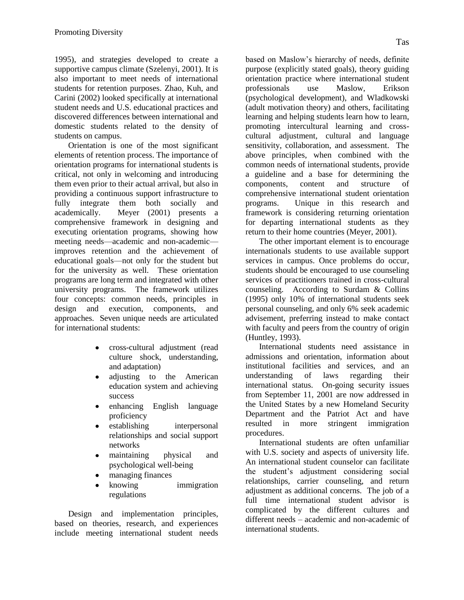1995), and strategies developed to create a supportive campus climate (Szelenyi, 2001). It is also important to meet needs of international students for retention purposes. Zhao, Kuh, and Carini (2002) looked specifically at international student needs and U.S. educational practices and discovered differences between international and domestic students related to the density of students on campus.

Orientation is one of the most significant elements of retention process. The importance of orientation programs for international students is critical, not only in welcoming and introducing them even prior to their actual arrival, but also in providing a continuous support infrastructure to fully integrate them both socially and academically. Meyer (2001) presents a comprehensive framework in designing and executing orientation programs, showing how meeting needs—academic and non-academic improves retention and the achievement of educational goals—not only for the student but for the university as well. These orientation programs are long term and integrated with other university programs. The framework utilizes four concepts: common needs, principles in design and execution, components, and approaches. Seven unique needs are articulated for international students:

- cross-cultural adjustment (read culture shock, understanding, and adaptation)
- adjusting to the American  $\bullet$ education system and achieving success
- enhancing English language proficiency
- establishing interpersonal  $\bullet$ relationships and social support networks
- $\bullet$ maintaining physical and psychological well-being
- managing finances  $\bullet$
- $\bullet$ knowing immigration regulations

Design and implementation principles, based on theories, research, and experiences include meeting international student needs

based on Maslow's hierarchy of needs, definite purpose (explicitly stated goals), theory guiding orientation practice where international student professionals use Maslow, Erikson (psychological development), and Wladkowski (adult motivation theory) and others, facilitating learning and helping students learn how to learn, promoting intercultural learning and crosscultural adjustment, cultural and language sensitivity, collaboration, and assessment. The above principles, when combined with the common needs of international students, provide a guideline and a base for determining the components, content and structure of comprehensive international student orientation programs. Unique in this research and framework is considering returning orientation for departing international students as they return to their home countries (Meyer, 2001).

The other important element is to encourage internationals students to use available support services in campus. Once problems do occur, students should be encouraged to use counseling services of practitioners trained in cross-cultural counseling. According to Surdam & Collins (1995) only 10% of international students seek personal counseling, and only 6% seek academic advisement, preferring instead to make contact with faculty and peers from the country of origin (Huntley, 1993).

International students need assistance in admissions and orientation, information about institutional facilities and services, and an understanding of laws regarding their international status. On-going security issues from September 11, 2001 are now addressed in the United States by a new Homeland Security Department and the Patriot Act and have resulted in more stringent immigration procedures.

International students are often unfamiliar with U.S. society and aspects of university life. An international student counselor can facilitate the student's adjustment considering social relationships, carrier counseling, and return adjustment as additional concerns. The job of a full time international student advisor is complicated by the different cultures and different needs – academic and non-academic of international students.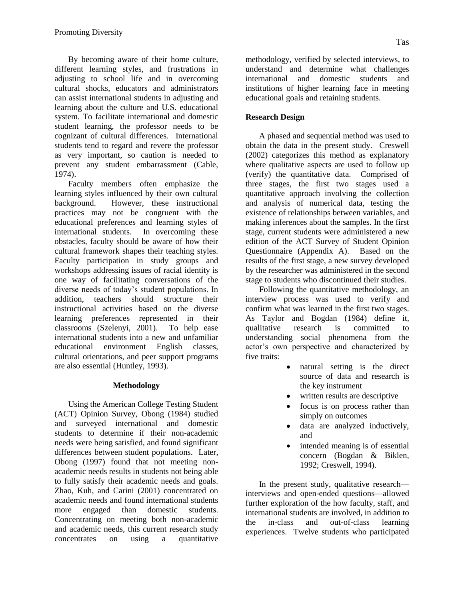By becoming aware of their home culture, different learning styles, and frustrations in adjusting to school life and in overcoming cultural shocks, educators and administrators can assist international students in adjusting and learning about the culture and U.S. educational system. To facilitate international and domestic student learning, the professor needs to be cognizant of cultural differences. International students tend to regard and revere the professor as very important, so caution is needed to prevent any student embarrassment (Cable, 1974).

Faculty members often emphasize the learning styles influenced by their own cultural background. However, these instructional practices may not be congruent with the educational preferences and learning styles of international students. In overcoming these obstacles, faculty should be aware of how their cultural framework shapes their teaching styles. Faculty participation in study groups and workshops addressing issues of racial identity is one way of facilitating conversations of the diverse needs of today's student populations. In addition, teachers should structure their instructional activities based on the diverse learning preferences represented in their classrooms (Szelenyi, 2001). To help ease international students into a new and unfamiliar educational environment English classes, cultural orientations, and peer support programs are also essential (Huntley, 1993).

# **Methodology**

Using the American College Testing Student (ACT) Opinion Survey, Obong (1984) studied and surveyed international and domestic students to determine if their non-academic needs were being satisfied, and found significant differences between student populations. Later, Obong (1997) found that not meeting nonacademic needs results in students not being able to fully satisfy their academic needs and goals. Zhao, Kuh, and Carini (2001) concentrated on academic needs and found international students more engaged than domestic students. Concentrating on meeting both non-academic and academic needs, this current research study concentrates on using a quantitative

methodology, verified by selected interviews, to understand and determine what challenges international and domestic students and institutions of higher learning face in meeting educational goals and retaining students.

# **Research Design**

A phased and sequential method was used to obtain the data in the present study. Creswell (2002) categorizes this method as explanatory where qualitative aspects are used to follow up (verify) the quantitative data. Comprised of three stages, the first two stages used a quantitative approach involving the collection and analysis of numerical data, testing the existence of relationships between variables, and making inferences about the samples. In the first stage, current students were administered a new edition of the ACT Survey of Student Opinion Questionnaire (Appendix A). Based on the results of the first stage, a new survey developed by the researcher was administered in the second stage to students who discontinued their studies.

Following the quantitative methodology, an interview process was used to verify and confirm what was learned in the first two stages. As Taylor and Bogdan (1984) define it, qualitative research is committed to understanding social phenomena from the actor's own perspective and characterized by five traits:

- natural setting is the direct source of data and research is the key instrument
- written results are descriptive
- focus is on process rather than simply on outcomes
- data are analyzed inductively,  $\bullet$ and
- intended meaning is of essential  $\bullet$ concern (Bogdan & Biklen, 1992; Creswell, 1994).

In the present study, qualitative research interviews and open-ended questions—allowed further exploration of the how faculty, staff, and international students are involved, in addition to the in-class and out-of-class learning experiences. Twelve students who participated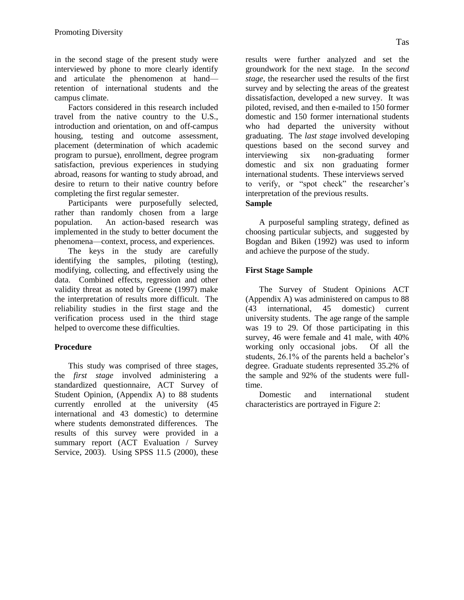in the second stage of the present study were interviewed by phone to more clearly identify and articulate the phenomenon at hand retention of international students and the campus climate.

Factors considered in this research included travel from the native country to the U.S., introduction and orientation, on and off-campus housing, testing and outcome assessment, placement (determination of which academic program to pursue), enrollment, degree program satisfaction, previous experiences in studying abroad, reasons for wanting to study abroad, and desire to return to their native country before completing the first regular semester.

Participants were purposefully selected, rather than randomly chosen from a large population. An action-based research was implemented in the study to better document the phenomena—context, process, and experiences.

The keys in the study are carefully identifying the samples, piloting (testing), modifying, collecting, and effectively using the data. Combined effects, regression and other validity threat as noted by Greene (1997) make the interpretation of results more difficult. The reliability studies in the first stage and the verification process used in the third stage helped to overcome these difficulties.

# **Procedure**

This study was comprised of three stages, the *first stage* involved administering a standardized questionnaire, ACT Survey of Student Opinion, (Appendix A) to 88 students currently enrolled at the university (45 international and 43 domestic) to determine where students demonstrated differences. The results of this survey were provided in a summary report (ACT Evaluation / Survey Service, 2003). Using SPSS 11.5 (2000), these

results were further analyzed and set the groundwork for the next stage. In the *second stage*, the researcher used the results of the first survey and by selecting the areas of the greatest dissatisfaction, developed a new survey. It was piloted, revised, and then e-mailed to 150 former domestic and 150 former international students who had departed the university without graduating. The *last stage* involved developing questions based on the second survey and interviewing six non-graduating former domestic and six non graduating former international students. These interviews served to verify, or "spot check" the researcher's interpretation of the previous results. **Sample**

A purposeful sampling strategy, defined as choosing particular subjects, and suggested by Bogdan and Biken (1992) was used to inform and achieve the purpose of the study.

# **First Stage Sample**

The Survey of Student Opinions ACT (Appendix A) was administered on campus to 88 (43 international, 45 domestic) current university students. The age range of the sample was 19 to 29. Of those participating in this survey, 46 were female and 41 male, with 40% working only occasional jobs. Of all the students, 26.1% of the parents held a bachelor's degree. Graduate students represented 35.2% of the sample and 92% of the students were fulltime.

Domestic and international student characteristics are portrayed in Figure 2: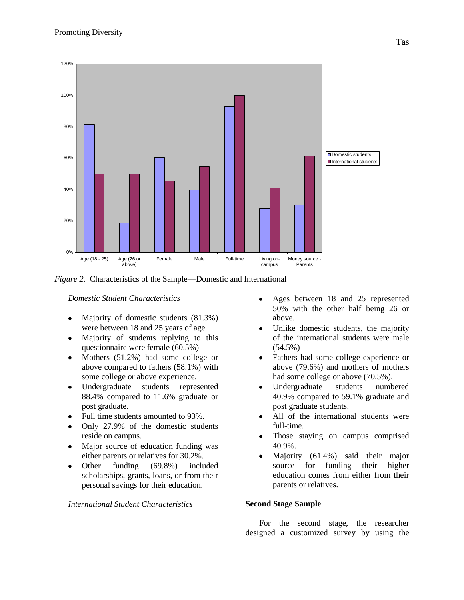

*Figure 2.* Characteristics of the Sample—Domestic and International

## *Domestic Student Characteristics*

- Majority of domestic students (81.3%) were between 18 and 25 years of age.
- Majority of students replying to this  $\bullet$ questionnaire were female (60.5%)
- Mothers (51.2%) had some college or above compared to fathers (58.1%) with some college or above experience.
- Undergraduate students represented  $\bullet$ 88.4% compared to 11.6% graduate or post graduate.
- Full time students amounted to 93%.  $\bullet$
- Only 27.9% of the domestic students  $\bullet$ reside on campus.
- Major source of education funding was  $\bullet$ either parents or relatives for 30.2%.
- $\bullet$ Other funding (69.8%) included scholarships, grants, loans, or from their personal savings for their education.

### *International Student Characteristics*

- Ages between 18 and 25 represented 50% with the other half being 26 or above.
- Unlike domestic students, the majority of the international students were male  $(54.5\%)$
- Fathers had some college experience or above (79.6%) and mothers of mothers had some college or above (70.5%).
- $\bullet$ Undergraduate students numbered 40.9% compared to 59.1% graduate and post graduate students.
- All of the international students were  $\bullet$ full-time.
- Those staying on campus comprised 40.9%.
- Majority (61.4%) said their major source for funding their higher education comes from either from their parents or relatives.

# **Second Stage Sample**

For the second stage, the researcher designed a customized survey by using the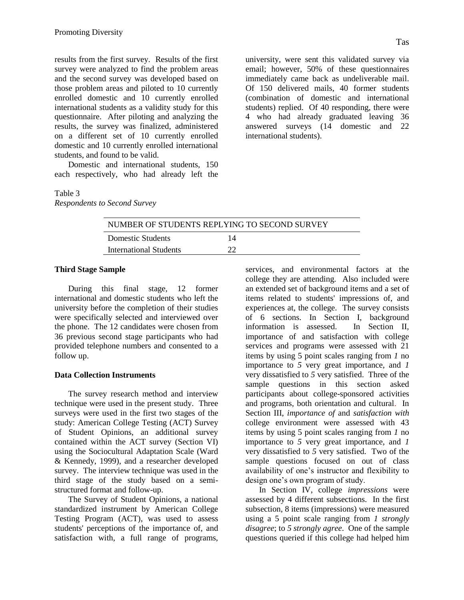results from the first survey. Results of the first survey were analyzed to find the problem areas and the second survey was developed based on those problem areas and piloted to 10 currently enrolled domestic and 10 currently enrolled international students as a validity study for this questionnaire. After piloting and analyzing the results, the survey was finalized, administered on a different set of 10 currently enrolled domestic and 10 currently enrolled international students, and found to be valid.

Domestic and international students, 150 each respectively, who had already left the

university, were sent this validated survey via email; however, 50% of these questionnaires immediately came back as undeliverable mail. Of 150 delivered mails, 40 former students (combination of domestic and international students) replied. Of 40 responding, there were 4 who had already graduated leaving 36 answered surveys (14 domestic and 22 international students).

### Table 3 *Respondents to Second Survey*

|                        | NUMBER OF STUDENTS REPLYING TO SECOND SURVEY |
|------------------------|----------------------------------------------|
| Domestic Students      | 14                                           |
| International Students | າາ                                           |
|                        |                                              |

## **Third Stage Sample**

During this final stage, 12 former international and domestic students who left the university before the completion of their studies were specifically selected and interviewed over the phone. The 12 candidates were chosen from 36 previous second stage participants who had provided telephone numbers and consented to a follow up.

## **Data Collection Instruments**

The survey research method and interview technique were used in the present study. Three surveys were used in the first two stages of the study: American College Testing (ACT) Survey of Student Opinions, an additional survey contained within the ACT survey (Section VI) using the Sociocultural Adaptation Scale (Ward & Kennedy, 1999), and a researcher developed survey. The interview technique was used in the third stage of the study based on a semistructured format and follow-up.

The Survey of Student Opinions, a national standardized instrument by American College Testing Program (ACT), was used to assess students' perceptions of the importance of, and satisfaction with, a full range of programs,

services, and environmental factors at the college they are attending. Also included were an extended set of background items and a set of items related to students' impressions of, and experiences at, the college. The survey consists of 6 sections. In Section I, background<br>information is assessed. In Section II, information is assessed. importance of and satisfaction with college services and programs were assessed with 21 items by using 5 point scales ranging from *1* no importance to *5* very great importance, and *1* very dissatisfied to *5* very satisfied. Three of the sample questions in this section asked participants about college-sponsored activities and programs, both orientation and cultural. In Section III, *importance of* and *satisfaction with* college environment were assessed with 43 items by using 5 point scales ranging from *1* no importance to *5* very great importance, and *1* very dissatisfied to *5* very satisfied. Two of the sample questions focused on out of class availability of one's instructor and flexibility to design one's own program of study.

In Section IV, college *impressions* were assessed by 4 different subsections. In the first subsection, 8 items (impressions) were measured using a 5 point scale ranging from *1 strongly disagree*; to *5 strongly agree*. One of the sample questions queried if this college had helped him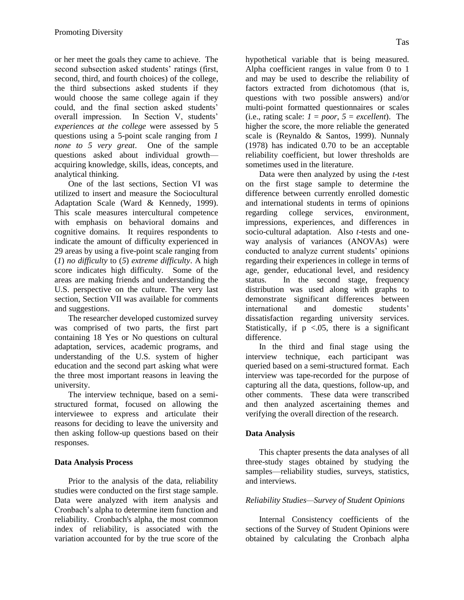or her meet the goals they came to achieve. The second subsection asked students' ratings (first, second, third, and fourth choices) of the college, the third subsections asked students if they would choose the same college again if they could, and the final section asked students' overall impression. In Section V, students' *experiences at the college* were assessed by 5 questions using a 5-point scale ranging from *1 none to 5 very great*. One of the sample questions asked about individual growth acquiring knowledge, skills, ideas, concepts, and analytical thinking.

One of the last sections, Section VI was utilized to insert and measure the Sociocultural Adaptation Scale (Ward & Kennedy, 1999). This scale measures intercultural competence with emphasis on behavioral domains and cognitive domains. It requires respondents to indicate the amount of difficulty experienced in 29 areas by using a five-point scale ranging from (*1*) *no difficulty* to (*5*) *extreme difficulty*. A high score indicates high difficulty. Some of the areas are making friends and understanding the U.S. perspective on the culture. The very last section, Section VII was available for comments and suggestions.

The researcher developed customized survey was comprised of two parts, the first part containing 18 Yes or No questions on cultural adaptation, services, academic programs, and understanding of the U.S. system of higher education and the second part asking what were the three most important reasons in leaving the university.

The interview technique, based on a semistructured format, focused on allowing the interviewee to express and articulate their reasons for deciding to leave the university and then asking follow-up questions based on their responses.

# **Data Analysis Process**

Prior to the analysis of the data, reliability studies were conducted on the first stage sample. Data were analyzed with item analysis and Cronbach's alpha to determine item function and reliability. Cronbach's alpha, the most common index of reliability, is associated with the variation accounted for by the true score of the

hypothetical variable that is being measured. Alpha coefficient ranges in value from 0 to 1 and may be used to describe the reliability of factors extracted from dichotomous (that is, questions with two possible answers) and/or multi-point formatted questionnaires or scales (i.e., rating scale:  $I = poor$ ,  $5 = excellent$ ). The higher the score, the more reliable the generated scale is (Reynaldo & Santos, 1999). Nunnaly (1978) has indicated 0.70 to be an acceptable reliability coefficient, but lower thresholds are sometimes used in the literature.

Data were then analyzed by using the *t*-test on the first stage sample to determine the difference between currently enrolled domestic and international students in terms of opinions regarding college services, environment, impressions, experiences, and differences in socio-cultural adaptation. Also *t*-tests and oneway analysis of variances (ANOVAs) were conducted to analyze current students' opinions regarding their experiences in college in terms of age, gender, educational level, and residency status. In the second stage, frequency distribution was used along with graphs to demonstrate significant differences between international and domestic students' dissatisfaction regarding university services. Statistically, if  $p \le 0.05$ , there is a significant difference.

In the third and final stage using the interview technique, each participant was queried based on a semi-structured format. Each interview was tape-recorded for the purpose of capturing all the data, questions, follow-up, and other comments. These data were transcribed and then analyzed ascertaining themes and verifying the overall direction of the research.

# **Data Analysis**

This chapter presents the data analyses of all three-study stages obtained by studying the samples—reliability studies, surveys, statistics, and interviews.

# *Reliability Studies—Survey of Student Opinions*

Internal Consistency coefficients of the sections of the Survey of Student Opinions were obtained by calculating the Cronbach alpha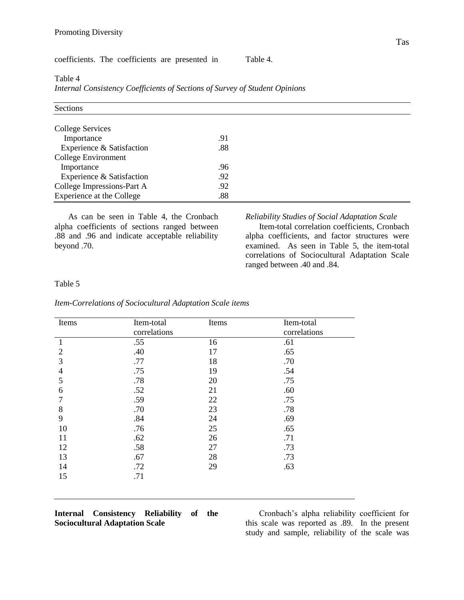### coefficients. The coefficients are presented in Table 4.

Table 4

| Sections                   |     |  |
|----------------------------|-----|--|
|                            |     |  |
| <b>College Services</b>    |     |  |
| Importance                 | .91 |  |
| Experience & Satisfaction  | .88 |  |
| College Environment        |     |  |
| Importance                 | .96 |  |
| Experience & Satisfaction  | .92 |  |
| College Impressions-Part A | .92 |  |
| Experience at the College  | .88 |  |

*Internal Consistency Coefficients of Sections of Survey of Student Opinions*

As can be seen in Table 4, the Cronbach alpha coefficients of sections ranged between .88 and .96 and indicate acceptable reliability beyond .70.

*Reliability Studies of Social Adaptation Scale*

Item-total correlation coefficients, Cronbach alpha coefficients, and factor structures were examined. As seen in Table 5, the item-total correlations of Sociocultural Adaptation Scale ranged between .40 and .84.

#### Table 5

| Item-Correlations of Sociocultural Adaptation Scale items |  |  |  |  |
|-----------------------------------------------------------|--|--|--|--|
|                                                           |  |  |  |  |

| Items        | Item-total<br>correlations | Items | Item-total<br>correlations |
|--------------|----------------------------|-------|----------------------------|
| $\mathbf{1}$ | .55                        | 16    | .61                        |
| 2            | .40                        | 17    | .65                        |
| 3            | .77                        | 18    | .70                        |
| 4            | .75                        | 19    | .54                        |
| 5            | .78                        | 20    | .75                        |
| 6            | .52                        | 21    | .60                        |
| 7            | .59                        | 22    | .75                        |
| 8            | .70                        | 23    | .78                        |
| 9            | .84                        | 24    | .69                        |
| 10           | .76                        | 25    | .65                        |
| 11           | .62                        | 26    | .71                        |
| 12           | .58                        | 27    | .73                        |
| 13           | .67                        | 28    | .73                        |
| 14           | .72                        | 29    | .63                        |
| 15           | .71                        |       |                            |

**Internal Consistency Reliability of the Sociocultural Adaptation Scale**

Cronbach's alpha reliability coefficient for this scale was reported as .89. In the present study and sample, reliability of the scale was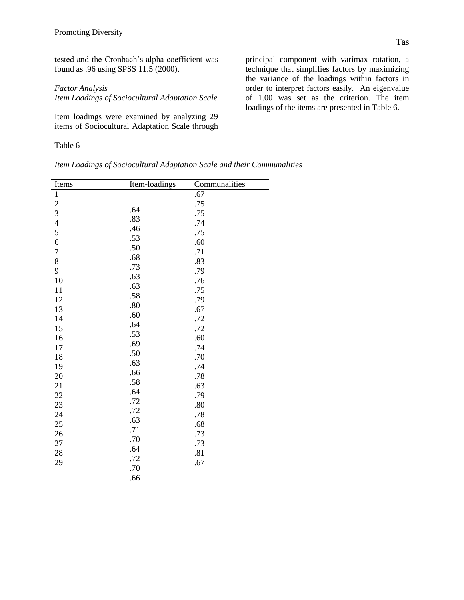tested and the Cronbach's alpha coefficient was found as .96 using SPSS 11.5 (2000).

## *Factor Analysis*

*Item Loadings of Sociocultural Adaptation Scale*

Item loadings were examined by analyzing 29 items of Sociocultural Adaptation Scale through

### Table 6

Items Item-loadings Communalities 1 2 3 4 5 6 7 8 9 10 11 12 13 14 15 16 17 18 19 20 21 22 23 24 25 26 27 28 29 .64 .83 .46 .53 .50 .68 .73 .63 .63 .58 .80 .60 .64 .53 .69 .50 .63 .66 .58 .64 .72 .72 .63 .71 .70 .64 .72 .70 .66 .67 .75 .75 .74 .75 .60 .71 .83 .79 .76 .75 .79 .67 .72 .72 .60 .74 .70 .74 .78 .63 .79 .80 .78 .68 .73 .73 .81 .67

principal component with varimax rotation, a technique that simplifies factors by maximizing the variance of the loadings within factors in order to interpret factors easily. An eigenvalue of 1.00 was set as the criterion. The item loadings of the items are presented in Table 6.

*Item Loadings of Sociocultural Adaptation Scale and their Communalities*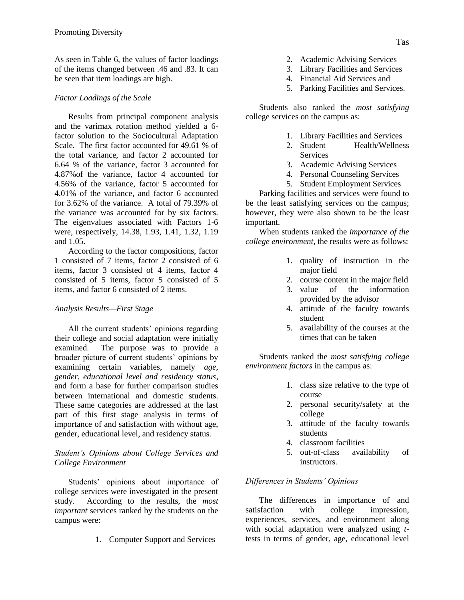As seen in Table 6, the values of factor loadings of the items changed between .46 and .83. It can be seen that item loadings are high.

# *Factor Loadings of the Scale*

Results from principal component analysis and the varimax rotation method yielded a 6 factor solution to the Sociocultural Adaptation Scale. The first factor accounted for 49.61 % of the total variance, and factor 2 accounted for 6.64 % of the variance, factor 3 accounted for 4.87%of the variance, factor 4 accounted for 4.56% of the variance, factor 5 accounted for 4.01% of the variance, and factor 6 accounted for 3.62% of the variance. A total of 79.39% of the variance was accounted for by six factors. The eigenvalues associated with Factors 1-6 were, respectively, 14.38, 1.93, 1.41, 1.32, 1.19 and 1.05.

According to the factor compositions, factor 1 consisted of 7 items, factor 2 consisted of 6 items, factor 3 consisted of 4 items, factor 4 consisted of 5 items, factor 5 consisted of 5 items, and factor 6 consisted of 2 items.

# *Analysis Results—First Stage*

All the current students' opinions regarding their college and social adaptation were initially examined. The purpose was to provide a broader picture of current students' opinions by examining certain variables, namely *age, gender, educational level and residency status*, and form a base for further comparison studies between international and domestic students. These same categories are addressed at the last part of this first stage analysis in terms of importance of and satisfaction with without age, gender, educational level, and residency status.

## *Student's Opinions about College Services and College Environment*

Students' opinions about importance of college services were investigated in the present study. According to the results, the *most important* services ranked by the students on the campus were:

1. Computer Support and Services

- 2. Academic Advising Services
- 3. Library Facilities and Services
- 4. Financial Aid Services and
- 5. Parking Facilities and Services.

Students also ranked the *most satisfying* college services on the campus as:

- 1. Library Facilities and Services
- 2. Student Health/Wellness Services
- 3. Academic Advising Services
- 4. Personal Counseling Services
- 5. Student Employment Services

Parking facilities and services were found to be the least satisfying services on the campus; however, they were also shown to be the least important.

When students ranked the *importance of the college environment*, the results were as follows:

- 1. quality of instruction in the major field
- 2. course content in the major field
- 3. value of the information provided by the advisor
- 4. attitude of the faculty towards student
- 5. availability of the courses at the times that can be taken

Students ranked the *most satisfying college environment factors* in the campus as:

- 1. class size relative to the type of course
- 2. personal security/safety at the college
- 3. attitude of the faculty towards students
- 4. classroom facilities
- 5. out-of-class availability of instructors.

# *Differences in Students' Opinions*

The differences in importance of and satisfaction with college impression. experiences, services, and environment along with social adaptation were analyzed using *t*tests in terms of gender, age, educational level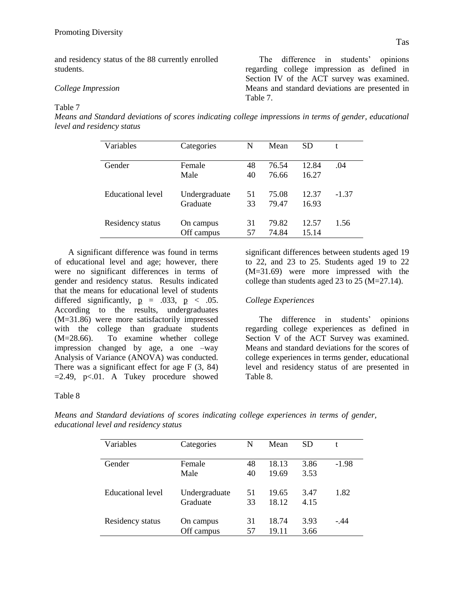and residency status of the 88 currently enrolled students.

### *College Impression*

The difference in students' opinions regarding college impression as defined in Section IV of the ACT survey was examined. Means and standard deviations are presented in Table 7.

## Table 7

*Means and Standard deviations of scores indicating college impressions in terms of gender, educational level and residency status*

| Variables         |               | N  |       |       |         |
|-------------------|---------------|----|-------|-------|---------|
|                   | Categories    |    | Mean  | SD    | t       |
|                   |               |    |       |       |         |
| Gender            | Female        | 48 | 76.54 | 12.84 | .04     |
|                   | Male          | 40 | 76.66 | 16.27 |         |
|                   |               |    |       |       |         |
| Educational level | Undergraduate | 51 | 75.08 | 12.37 | $-1.37$ |
|                   | Graduate      | 33 | 79.47 | 16.93 |         |
|                   |               |    |       |       |         |
| Residency status  | On campus     | 31 | 79.82 | 12.57 | 1.56    |
|                   |               |    |       |       |         |
|                   | Off campus    | 57 | 74.84 | 15.14 |         |

A significant difference was found in terms of educational level and age; however, there were no significant differences in terms of gender and residency status. Results indicated that the means for educational level of students differed significantly,  $p = .033$ ,  $p < .05$ . According to the results, undergraduates (M=31.86) were more satisfactorily impressed with the college than graduate students (M=28.66). To examine whether college impression changed by age, a one –way Analysis of Variance (ANOVA) was conducted. There was a significant effect for age F (3, 84)  $=2.49$ ,  $p<01$ . A Tukey procedure showed

Table 8

significant differences between students aged 19 to 22, and 23 to 25. Students aged 19 to 22 (M=31.69) were more impressed with the college than students aged 23 to 25 (M=27.14).

## *College Experiences*

The difference in students' opinions regarding college experiences as defined in Section V of the ACT Survey was examined. Means and standard deviations for the scores of college experiences in terms gender, educational level and residency status of are presented in Table 8.

| Variables         | Categories                | N        | Mean           | SD           | t       |
|-------------------|---------------------------|----------|----------------|--------------|---------|
| Gender            | Female<br>Male            | 48<br>40 | 18.13<br>19.69 | 3.86<br>3.53 | $-1.98$ |
| Educational level | Undergraduate<br>Graduate | 51<br>33 | 19.65<br>18.12 | 3.47<br>4.15 | 1.82    |
| Residency status  | On campus<br>Off campus   | 31<br>57 | 18.74<br>19.11 | 3.93<br>3.66 | -.44    |

*Means and Standard deviations of scores indicating college experiences in terms of gender, educational level and residency status*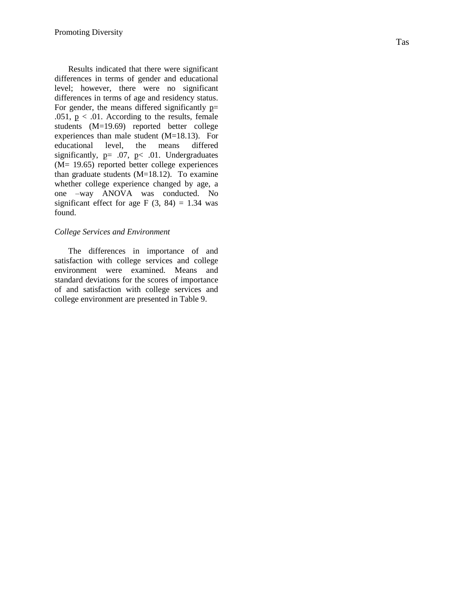Results indicated that there were significant differences in terms of gender and educational level; however, there were no significant differences in terms of age and residency status. For gender, the means differed significantly  $p=$ .051,  $p < .01$ . According to the results, female students (M=19.69) reported better college experiences than male student  $(M=18.13)$ . For<br>educational level, the means differed educational level, the means differed significantly,  $p= .07$ ,  $p< .01$ . Undergraduates (M= 19.65) reported better college experiences than graduate students (M=18.12). To examine whether college experience changed by age, a one –way ANOVA was conducted. No significant effect for age F  $(3, 84) = 1.34$  was found.

### *College Services and Environment*

The differences in importance of and satisfaction with college services and college environment were examined. Means and standard deviations for the scores of importance of and satisfaction with college services and college environment are presented in Table 9 .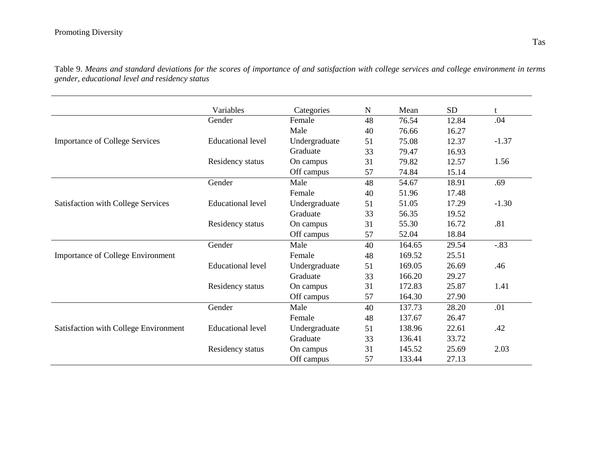|                                          | Variables                | Categories    | $\mathbf N$ | Mean   | ${\rm SD}$ | t       |
|------------------------------------------|--------------------------|---------------|-------------|--------|------------|---------|
|                                          | Gender                   | Female        | 48          | 76.54  | 12.84      | .04     |
|                                          |                          | Male          | 40          | 76.66  | 16.27      |         |
| <b>Importance of College Services</b>    | <b>Educational level</b> | Undergraduate | 51          | 75.08  | 12.37      | $-1.37$ |
|                                          |                          | Graduate      | 33          | 79.47  | 16.93      |         |
|                                          | Residency status         | On campus     | 31          | 79.82  | 12.57      | 1.56    |
|                                          |                          | Off campus    | 57          | 74.84  | 15.14      |         |
|                                          | Gender                   | Male          | 48          | 54.67  | 18.91      | .69     |
|                                          |                          | Female        | 40          | 51.96  | 17.48      |         |
| Satisfaction with College Services       | <b>Educational level</b> | Undergraduate | 51          | 51.05  | 17.29      | $-1.30$ |
|                                          |                          | Graduate      | 33          | 56.35  | 19.52      |         |
|                                          | Residency status         | On campus     | 31          | 55.30  | 16.72      | .81     |
|                                          |                          | Off campus    | 57          | 52.04  | 18.84      |         |
|                                          | Gender                   | Male          | 40          | 164.65 | 29.54      | $-.83$  |
| <b>Importance of College Environment</b> |                          | Female        | 48          | 169.52 | 25.51      |         |
|                                          | <b>Educational level</b> | Undergraduate | 51          | 169.05 | 26.69      | .46     |
|                                          |                          | Graduate      | 33          | 166.20 | 29.27      |         |
|                                          | Residency status         | On campus     | 31          | 172.83 | 25.87      | 1.41    |
|                                          |                          | Off campus    | 57          | 164.30 | 27.90      |         |
|                                          | Gender                   | Male          | 40          | 137.73 | 28.20      | .01     |
|                                          |                          | Female        | 48          | 137.67 | 26.47      |         |
| Satisfaction with College Environment    | <b>Educational level</b> | Undergraduate | 51          | 138.96 | 22.61      | .42     |
|                                          |                          | Graduate      | 33          | 136.41 | 33.72      |         |
|                                          | Residency status         | On campus     | 31          | 145.52 | 25.69      | 2.03    |
|                                          |                          | Off campus    | 57          | 133.44 | 27.13      |         |

Table 9. *Means and standard deviations for the scores of importance of and satisfaction with college services and college environment in terms gender, educational level and residency status*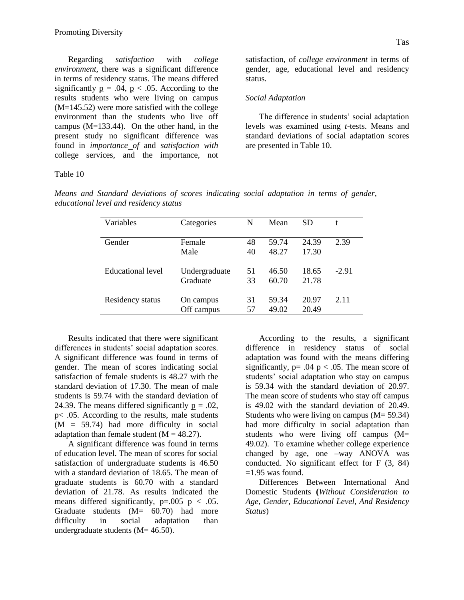Regarding *satisfaction* with *college environment*, there was a significant difference in terms of residency status. The means differed significantly  $p = .04$ ,  $p < .05$ . According to the results students who were living on campus (M=145.52) were more satisfied with the college environment than the students who live off campus (M=133.44). On the other hand, in the present study no significant difference was found in *importance of* and *satisfaction with* college services, and the importance, not

satisfaction, of *college environment* in terms of gender, age, educational level and residency status.

#### *Social Adaptation*

The difference in students' social adaptation levels was examined using *t*-tests. Means and standard deviations of social adaptation scores are presented in Table 10.

# Table 10

| Variables         | Categories                | N        | Mean           | <b>SD</b>      | t       |
|-------------------|---------------------------|----------|----------------|----------------|---------|
| Gender            | Female<br>Male            | 48<br>40 | 59.74<br>48.27 | 24.39<br>17.30 | 2.39    |
| Educational level | Undergraduate<br>Graduate | 51<br>33 | 46.50<br>60.70 | 18.65<br>21.78 | $-2.91$ |
| Residency status  | On campus<br>Off campus   | 31<br>57 | 59.34<br>49.02 | 20.97<br>20.49 | 2.11    |

*Means and Standard deviations of scores indicating social adaptation in terms of gender, educational level and residency status*

Results indicated that there were significant differences in students' social adaptation scores. A significant difference was found in terms of gender. The mean of scores indicating social satisfaction of female students is 48.27 with the standard deviation of 17.30. The mean of male students is 59.74 with the standard deviation of 24.39. The means differed significantly  $p = .02$ , p< .05. According to the results, male students  $(M = 59.74)$  had more difficulty in social adaptation than female student  $(M = 48.27)$ .

A significant difference was found in terms of education level. The mean of scores for social satisfaction of undergraduate students is 46.50 with a standard deviation of 18.65. The mean of graduate students is 60.70 with a standard deviation of 21.78. As results indicated the means differed significantly,  $p=.005$  p < .05. Graduate students (M= 60.70) had more difficulty in social adaptation than undergraduate students (M= 46.50).

According to the results, a significant difference in residency status of social adaptation was found with the means differing significantly,  $p = .04$  p < .05. The mean score of students' social adaptation who stay on campus is 59.34 with the standard deviation of 20.97. The mean score of students who stay off campus is 49.02 with the standard deviation of 20.49. Students who were living on campus  $(M= 59.34)$ had more difficulty in social adaptation than students who were living off campus (M= 49.02). To examine whether college experience changed by age, one –way ANOVA was conducted. No significant effect for F (3, 84)  $=1.95$  was found.

Differences Between International And Domestic Students **(***Without Consideration to Age, Gender, Educational Level, And Residency Status*)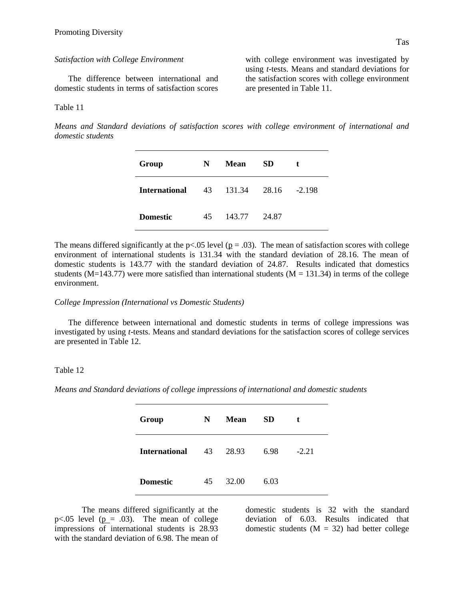The difference between international and domestic students in terms of satisfaction scores with college environment was investigated by using *t*-tests. Means and standard deviations for the satisfaction scores with college environment are presented in Table 11.

Table 11

*Means and Standard deviations of satisfaction scores with college environment of international and domestic students*

| Group                | N  | Mean            | SD.   | t.       |
|----------------------|----|-----------------|-------|----------|
| <b>International</b> |    | 43 131.34 28.16 |       | $-2.198$ |
| <b>Domestic</b>      | 45 | 143.77          | 24.87 |          |

The means differed significantly at the p<.05 level ( $p = .03$ ). The mean of satisfaction scores with college environment of international students is 131.34 with the standard deviation of 28.16. The mean of domestic students is 143.77 with the standard deviation of 24.87. Results indicated that domestics students ( $M=143.77$ ) were more satisfied than international students ( $M = 131.34$ ) in terms of the college environment.

### *College Impression (International vs Domestic Students)*

The difference between international and domestic students in terms of college impressions was investigated by using *t*-tests. Means and standard deviations for the satisfaction scores of college services are presented in Table 12.

#### Table 12

*Means and Standard deviations of college impressions of international and domestic students*

| Group                | N  | <b>Mean</b> | <b>SD</b> | t.      |
|----------------------|----|-------------|-----------|---------|
| <b>International</b> | 43 | 28.93       | 6.98      | $-2.21$ |
| <b>Domestic</b>      | 45 | 32.00       | 6.03      |         |

The means differed significantly at the p<.05 level ( $p = .03$ ). The mean of college impressions of international students is 28.93 with the standard deviation of 6.98. The mean of

domestic students is 32 with the standard deviation of 6.03. Results indicated that domestic students  $(M = 32)$  had better college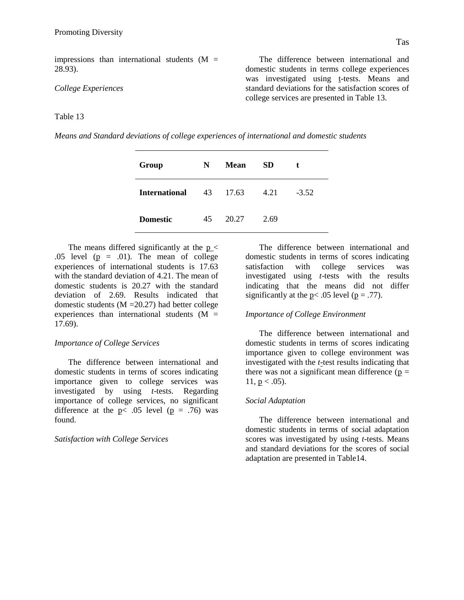impressions than international students  $(M =$ 28.93).

*College Experiences*

Table 13

*Means and Standard deviations of college experiences of international and domestic students*

| Group                | N  | Mean  | <b>SD</b> | t.      |
|----------------------|----|-------|-----------|---------|
| <b>International</b> | 43 | 17.63 | 4.21      | $-3.52$ |
| <b>Domestic</b>      | 45 | 20.27 | 2.69      |         |

The means differed significantly at the  $p <$ .05 level  $(p = .01)$ . The mean of college experiences of international students is 17.63 with the standard deviation of 4.21. The mean of domestic students is 20.27 with the standard deviation of 2.69. Results indicated that domestic students  $(M = 20.27)$  had better college experiences than international students  $(M =$ 17.69).

#### *Importance of College Services*

The difference between international and domestic students in terms of scores indicating importance given to college services was investigated by using *t*-tests. Regarding importance of college services, no significant difference at the  $p < .05$  level ( $p = .76$ ) was found.

#### *Satisfaction with College Services*

The difference between international and domestic students in terms of scores indicating satisfaction with college services was investigated using *t*-tests with the results indicating that the means did not differ significantly at the  $p < .05$  level ( $p = .77$ ).

#### *Importance of College Environment*

The difference between international and domestic students in terms of scores indicating importance given to college environment was investigated with the *t-*test results indicating that there was not a significant mean difference ( $p =$ 11,  $p < .05$ ).

#### *Social Adaptation*

The difference between international and domestic students in terms of social adaptation scores was investigated by using *t*-tests. Means and standard deviations for the scores of social adaptation are presented in Table14.

The difference between international and domestic students in terms college experiences was investigated using t-tests. Means and standard deviations for the satisfaction scores of college services are presented in Table 13.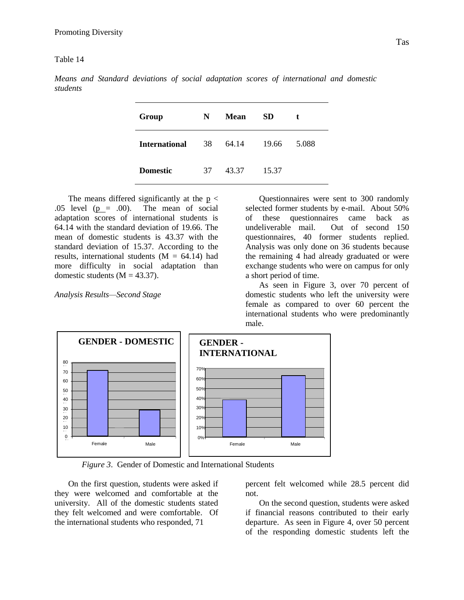#### Table 14

*Means and Standard deviations of social adaptation scores of international and domestic students*

| Group                | N  | Mean  | <b>SD</b> | t.    |
|----------------------|----|-------|-----------|-------|
| <b>International</b> | 38 | 64.14 | 19.66     | 5.088 |
| <b>Domestic</b>      | 37 | 43.37 | 15.37     |       |

The means differed significantly at the  $p <$ .05 level  $(p = .00)$ . The mean of social adaptation scores of international students is 64.14 with the standard deviation of 19.66. The mean of domestic students is 43.37 with the standard deviation of 15.37. According to the results, international students  $(M = 64.14)$  had more difficulty in social adaptation than domestic students  $(M = 43.37)$ .

*Analysis Results—Second Stage*

Questionnaires were sent to 300 randomly selected former students by e-mail. About 50% of these questionnaires came back as undeliverable mail. Out of second 150 questionnaires, 40 former students replied. Analysis was only done on 36 students because the remaining 4 had already graduated or were exchange students who were on campus for only a short period of time.

As seen in Figure 3, over 70 percent of domestic students who left the university were female as compared to over 60 percent the international students who were predominantly male.



*Figure 3*. Gender of Domestic and International Students

On the first question, students were asked if they were welcomed and comfortable at the university. All of the domestic students stated they felt welcomed and were comfortable. Of the international students who responded, 71

percent felt welcomed while 28.5 percent did not.

On the second question, students were asked if financial reasons contributed to their early departure. As seen in Figure 4, over 50 percent of the responding domestic students left the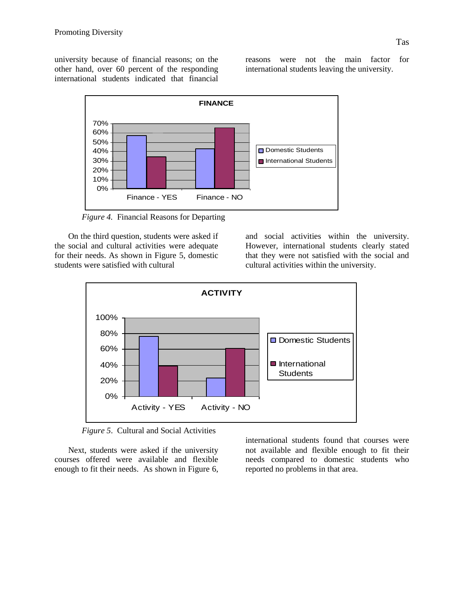university because of financial reasons; on the other hand, over 60 percent of the responding international students indicated that financial

reasons were not the main factor for international students leaving the university.



*Figure 4.* Financial Reasons for Departing

On the third question, students were asked if the social and cultural activities were adequate for their needs. As shown in Figure 5, domestic students were satisfied with cultural

and social activities within the university. However, international students clearly stated that they were not satisfied with the social and cultural activities within the university.



*Figure 5*. Cultural and Social Activities

Next, students were asked if the university courses offered were available and flexible enough to fit their needs. As shown in Figure 6, international students found that courses were not available and flexible enough to fit their needs compared to domestic students who reported no problems in that area.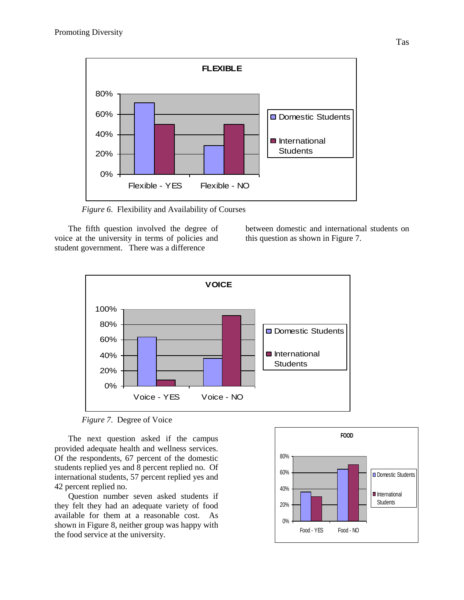

*Figure 6*. Flexibility and Availability of Courses

The fifth question involved the degree of voice at the university in terms of policies and student government. There was a difference

between domestic and international students on this question as shown in Figure 7.



*Figure 7*. Degree of Voice

The next question asked if the campus provided adequate health and wellness services. Of the respondents, 67 percent of the domestic students replied yes and 8 percent replied no. Of international students, 57 percent replied yes and 42 percent replied no.

Question number seven asked students if they felt they had an adequate variety of food available for them at a reasonable cost. As shown in Figure 8, neither group was happy with the food service at the university.

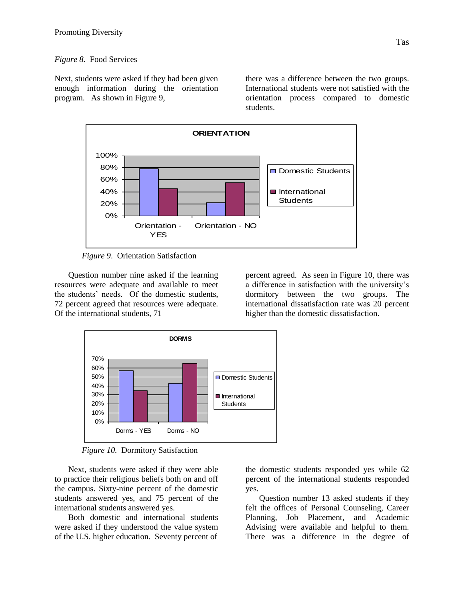*Figure 8.* Food Services

Next, students were asked if they had been given enough information during the orientation program. As shown in Figure 9,

there was a difference between the two groups. International students were not satisfied with the orientation process compared to domestic students.



*Figure 9*. Orientation Satisfaction

Question number nine asked if the learning resources were adequate and available to meet the students' needs. Of the domestic students, 72 percent agreed that resources were adequate. Of the international students, 71

percent agreed. As seen in Figure 10, there was a difference in satisfaction with the university's dormitory between the two groups. The international dissatisfaction rate was 20 percent higher than the domestic dissatisfaction.



*Figure 10.* Dormitory Satisfaction

Next, students were asked if they were able to practice their religious beliefs both on and off the campus. Sixty-nine percent of the domestic students answered yes, and 75 percent of the international students answered yes.

Both domestic and international students were asked if they understood the value system of the U.S. higher education. Seventy percent of

the domestic students responded yes while 62 percent of the international students responded yes.

Question number 13 asked students if they felt the offices of Personal Counseling, Career Planning, Job Placement, and Academic Advising were available and helpful to them. There was a difference in the degree of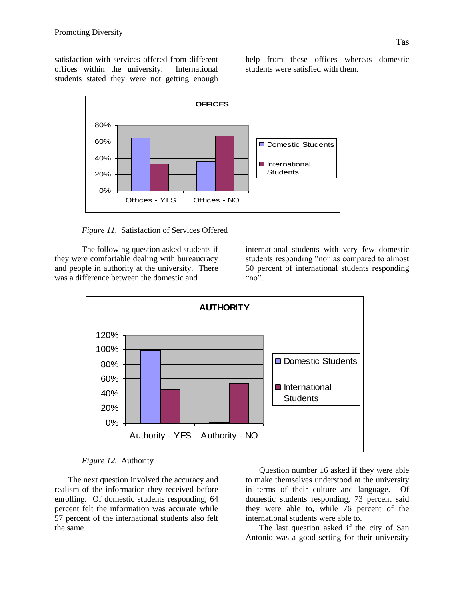satisfaction with services offered from different offices within the university. International students stated they were not getting enough

help from these offices whereas domestic students were satisfied with them.



*Figure 11.* Satisfaction of Services Offered

The following question asked students if they were comfortable dealing with bureaucracy and people in authority at the university. There was a difference between the domestic and

international students with very few domestic students responding "no" as compared to almost 50 percent of international students responding " $no$ ".



*Figure 12.* Authority

The next question involved the accuracy and realism of the information they received before enrolling. Of domestic students responding, 64 percent felt the information was accurate while 57 percent of the international students also felt the same.

Question number 16 asked if they were able to make themselves understood at the university in terms of their culture and language. Of domestic students responding, 73 percent said they were able to, while 76 percent of the international students were able to.

The last question asked if the city of San Antonio was a good setting for their university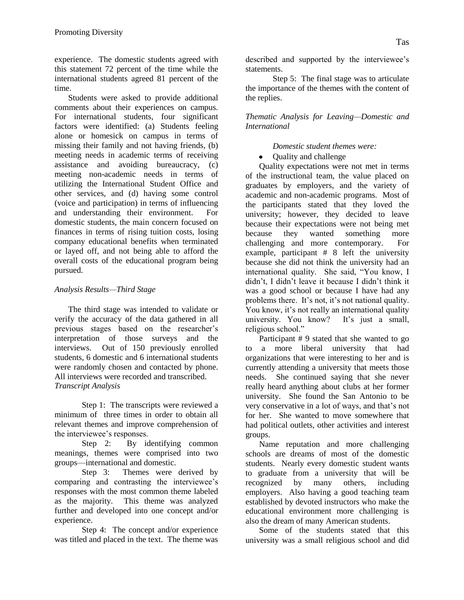experience. The domestic students agreed with this statement 72 percent of the time while the international students agreed 81 percent of the time.

Students were asked to provide additional comments about their experiences on campus. For international students, four significant factors were identified: (a) Students feeling alone or homesick on campus in terms of missing their family and not having friends, (b) meeting needs in academic terms of receiving assistance and avoiding bureaucracy, (c) meeting non-academic needs in terms of utilizing the International Student Office and other services, and (d) having some control (voice and participation) in terms of influencing and understanding their environment. For domestic students, the main concern focused on finances in terms of rising tuition costs, losing company educational benefits when terminated or layed off, and not being able to afford the overall costs of the educational program being pursued.

# *Analysis Results—Third Stage*

The third stage was intended to validate or verify the accuracy of the data gathered in all previous stages based on the researcher's interpretation of those surveys and the interviews. Out of 150 previously enrolled students, 6 domestic and 6 international students were randomly chosen and contacted by phone. All interviews were recorded and transcribed. *Transcript Analysis*

Step 1: The transcripts were reviewed a minimum of three times in order to obtain all relevant themes and improve comprehension of the interviewee's responses.

Step 2: By identifying common meanings, themes were comprised into two groups—international and domestic.

Step 3: Themes were derived by comparing and contrasting the interviewee's responses with the most common theme labeled as the majority. This theme was analyzed further and developed into one concept and/or experience.

Step 4: The concept and/or experience was titled and placed in the text. The theme was

described and supported by the interviewee's statements.

Step 5: The final stage was to articulate the importance of the themes with the content of the replies.

*Thematic Analysis for Leaving—Domestic and International* 

## *Domestic student themes were:*

 $\bullet$ Quality and challenge

Quality expectations were not met in terms of the instructional team, the value placed on graduates by employers, and the variety of academic and non-academic programs. Most of the participants stated that they loved the university; however, they decided to leave because their expectations were not being met because they wanted something more challenging and more contemporary. For example, participant # 8 left the university because she did not think the university had an international quality. She said, "You know, I didn't, I didn't leave it because I didn't think it was a good school or because I have had any problems there. It's not, it's not national quality. You know, it's not really an international quality university. You know? It's just a small, religious school."

Participant # 9 stated that she wanted to go to a more liberal university that had organizations that were interesting to her and is currently attending a university that meets those needs. She continued saying that she never really heard anything about clubs at her former university. She found the San Antonio to be very conservative in a lot of ways, and that's not for her. She wanted to move somewhere that had political outlets, other activities and interest groups.

Name reputation and more challenging schools are dreams of most of the domestic students. Nearly every domestic student wants to graduate from a university that will be recognized by many others, including employers. Also having a good teaching team established by devoted instructors who make the educational environment more challenging is also the dream of many American students.

Some of the students stated that this university was a small religious school and did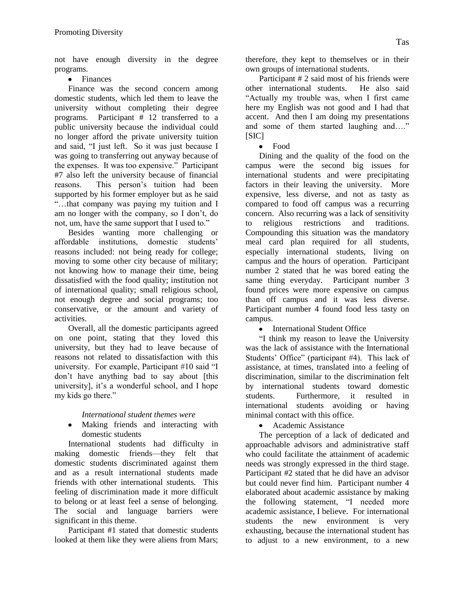not have enough diversity in the degree programs.

• Finances

Finance was the second concern among domestic students, which led them to leave the university without completing their degree programs. Participant # 12 transferred to a public university because the individual could no longer afford the private university tuition and said, "I just left. So it was just because I was going to transferring out anyway because of the expenses. It was too expensive." Participant #7 also left the university because of financial reasons. This person's tuition had been supported by his former employer but as he said "…that company was paying my tuition and I am no longer with the company, so I don't, do not, um, have the same support that I used to."

Besides wanting more challenging or affordable institutions, domestic students' reasons included: not being ready for college; moving to some other city because of military; not knowing how to manage their time, being dissatisfied with the food quality; institution not of international quality; small religious school, not enough degree and social programs; too conservative, or the amount and variety of activities.

Overall, all the domestic participants agreed on one point, stating that they loved this university, but they had to leave because of reasons not related to dissatisfaction with this university. For example, Participant #10 said "I don't have anything bad to say about [this university], it's a wonderful school, and I hope my kids go there."

# *International student themes were*

Making friends and interacting with domestic students

International students had difficulty in making domestic friends—they felt that domestic students discriminated against them and as a result international students made friends with other international students. This feeling of discrimination made it more difficult to belong or at least feel a sense of belonging. The social and language barriers were significant in this theme.

Participant #1 stated that domestic students looked at them like they were aliens from Mars;

therefore, they kept to themselves or in their own groups of international students.

Participant # 2 said most of his friends were other international students. He also said "Actually my trouble was, when I first came here my English was not good and I had that accent. And then I am doing my presentations and some of them started laughing and…." [SIC]

Food

Dining and the quality of the food on the campus were the second big issues for international students and were precipitating factors in their leaving the university. More expensive, less diverse, and not as tasty as compared to food off campus was a recurring concern. Also recurring was a lack of sensitivity to religious restrictions and traditions. Compounding this situation was the mandatory meal card plan required for all students, especially international students, living on campus and the hours of operation. Participant number 2 stated that he was bored eating the same thing everyday. Participant number 3 found prices were more expensive on campus than off campus and it was less diverse. Participant number 4 found food less tasty on campus.

• International Student Office

"I think my reason to leave the University was the lack of assistance with the International Students' Office" (participant #4). This lack of assistance, at times, translated into a feeling of discrimination, similar to the discrimination felt by international students toward domestic students. Furthermore, it resulted in international students avoiding or having minimal contact with this office.

Academic Assistance

The perception of a lack of dedicated and approachable advisors and administrative staff who could facilitate the attainment of academic needs was strongly expressed in the third stage. Participant #2 stated that he did have an advisor but could never find him. Participant number 4 elaborated about academic assistance by making the following statement, "I needed more academic assistance, I believe. For international students the new environment is very exhausting, because the international student has to adjust to a new environment, to a new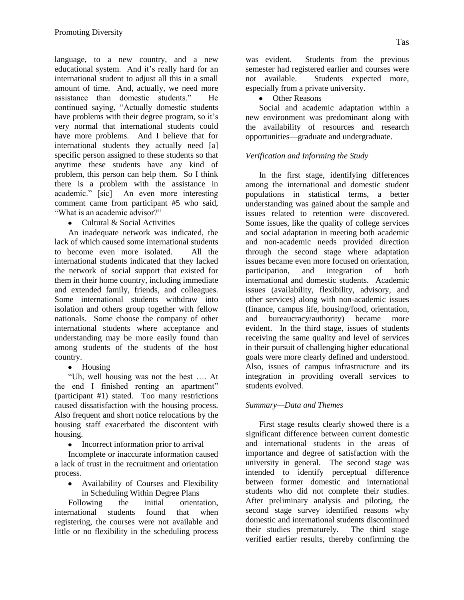language, to a new country, and a new educational system. And it's really hard for an international student to adjust all this in a small amount of time. And, actually, we need more assistance than domestic students." He continued saying, "Actually domestic students have problems with their degree program, so it's very normal that international students could have more problems. And I believe that for international students they actually need [a] specific person assigned to these students so that anytime these students have any kind of problem, this person can help them. So I think there is a problem with the assistance in academic." [sic] An even more interesting comment came from participant #5 who said, "What is an academic advisor?"

Cultural & Social Activities  $\bullet$ 

An inadequate network was indicated, the lack of which caused some international students to become even more isolated. All the international students indicated that they lacked the network of social support that existed for them in their home country, including immediate and extended family, friends, and colleagues. Some international students withdraw into isolation and others group together with fellow nationals. Some choose the company of other international students where acceptance and understanding may be more easily found than among students of the students of the host country.

• Housing

"Uh, well housing was not the best …. At the end I finished renting an apartment" (participant #1) stated. Too many restrictions caused dissatisfaction with the housing process. Also frequent and short notice relocations by the housing staff exacerbated the discontent with housing.

 $\bullet$ Incorrect information prior to arrival

Incomplete or inaccurate information caused a lack of trust in the recruitment and orientation process.

Availability of Courses and Flexibility in Scheduling Within Degree Plans

Following the initial orientation, international students found that when registering, the courses were not available and little or no flexibility in the scheduling process was evident. Students from the previous semester had registered earlier and courses were not available. Students expected more, especially from a private university.

• Other Reasons

Social and academic adaptation within a new environment was predominant along with the availability of resources and research opportunities—graduate and undergraduate.

# *Verification and Informing the Study*

In the first stage, identifying differences among the international and domestic student populations in statistical terms, a better understanding was gained about the sample and issues related to retention were discovered. Some issues, like the quality of college services and social adaptation in meeting both academic and non-academic needs provided direction through the second stage where adaptation issues became even more focused on orientation, participation, and integration of both international and domestic students. Academic issues (availability, flexibility, advisory, and other services) along with non-academic issues (finance, campus life, housing/food, orientation, and bureaucracy/authority) became more evident. In the third stage, issues of students receiving the same quality and level of services in their pursuit of challenging higher educational goals were more clearly defined and understood. Also, issues of campus infrastructure and its integration in providing overall services to students evolved.

# *Summary—Data and Themes*

First stage results clearly showed there is a significant difference between current domestic and international students in the areas of importance and degree of satisfaction with the university in general. The second stage was intended to identify perceptual difference between former domestic and international students who did not complete their studies. After preliminary analysis and piloting, the second stage survey identified reasons why domestic and international students discontinued their studies prematurely. The third stage verified earlier results, thereby confirming the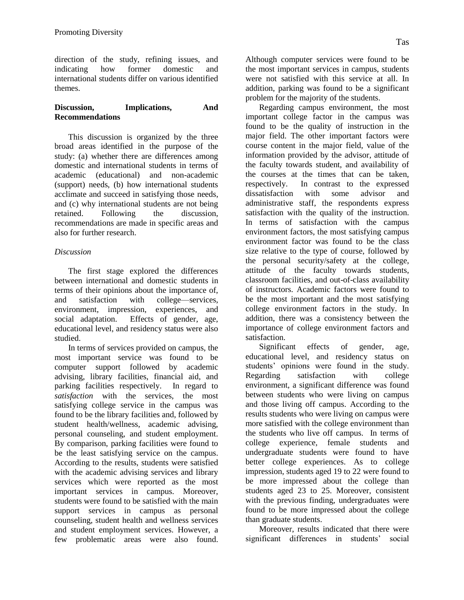direction of the study, refining issues, and indicating how former domestic and international students differ on various identified themes.

## **Discussion, Implications, And Recommendations**

This discussion is organized by the three broad areas identified in the purpose of the study: (a) whether there are differences among domestic and international students in terms of academic (educational) and non-academic (support) needs, (b) how international students acclimate and succeed in satisfying those needs, and (c) why international students are not being retained. Following the discussion, recommendations are made in specific areas and also for further research.

# *Discussion*

The first stage explored the differences between international and domestic students in terms of their opinions about the importance of, and satisfaction with college—services, environment, impression, experiences, and social adaptation. Effects of gender, age, educational level, and residency status were also studied.

In terms of services provided on campus, the most important service was found to be computer support followed by academic advising, library facilities, financial aid, and parking facilities respectively. In regard to *satisfaction* with the services, the most satisfying college service in the campus was found to be the library facilities and, followed by student health/wellness, academic advising, personal counseling, and student employment. By comparison, parking facilities were found to be the least satisfying service on the campus. According to the results, students were satisfied with the academic advising services and library services which were reported as the most important services in campus. Moreover, students were found to be satisfied with the main support services in campus as personal counseling, student health and wellness services and student employment services. However, a few problematic areas were also found.

Although computer services were found to be the most important services in campus, students were not satisfied with this service at all. In addition, parking was found to be a significant problem for the majority of the students.

Regarding campus environment, the most important college factor in the campus was found to be the quality of instruction in the major field. The other important factors were course content in the major field, value of the information provided by the advisor, attitude of the faculty towards student, and availability of the courses at the times that can be taken, respectively. In contrast to the expressed dissatisfaction with some advisor and administrative staff, the respondents express satisfaction with the quality of the instruction. In terms of satisfaction with the campus environment factors, the most satisfying campus environment factor was found to be the class size relative to the type of course, followed by the personal security/safety at the college, attitude of the faculty towards students, classroom facilities, and out-of-class availability of instructors. Academic factors were found to be the most important and the most satisfying college environment factors in the study. In addition, there was a consistency between the importance of college environment factors and satisfaction.

Significant effects of gender, age, educational level, and residency status on students' opinions were found in the study. Regarding satisfaction with college environment, a significant difference was found between students who were living on campus and those living off campus. According to the results students who were living on campus were more satisfied with the college environment than the students who live off campus. In terms of college experience, female students and undergraduate students were found to have better college experiences. As to college impression, students aged 19 to 22 were found to be more impressed about the college than students aged 23 to 25. Moreover, consistent with the previous finding, undergraduates were found to be more impressed about the college than graduate students.

Moreover, results indicated that there were significant differences in students' social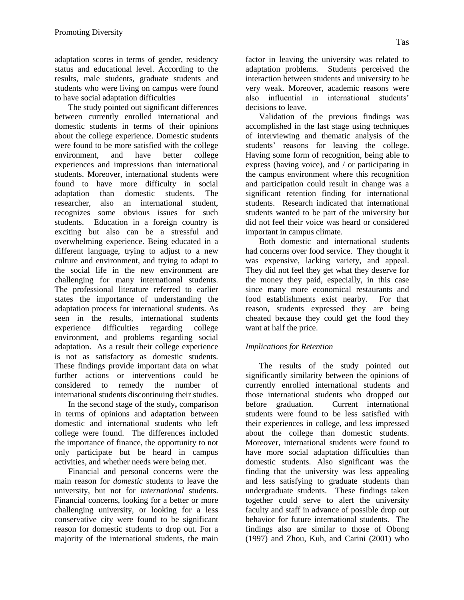adaptation scores in terms of gender, residency status and educational level. According to the results, male students, graduate students and students who were living on campus were found to have social adaptation difficulties

The study pointed out significant differences between currently enrolled international and domestic students in terms of their opinions about the college experience. Domestic students were found to be more satisfied with the college environment, and have better college experiences and impressions than international students. Moreover, international students were found to have more difficulty in social adaptation than domestic students. The researcher, also an international student, recognizes some obvious issues for such students. Education in a foreign country is exciting but also can be a stressful and overwhelming experience. Being educated in a different language, trying to adjust to a new culture and environment, and trying to adapt to the social life in the new environment are challenging for many international students. The professional literature referred to earlier states the importance of understanding the adaptation process for international students. As seen in the results, international students experience difficulties regarding college environment, and problems regarding social adaptation. As a result their college experience is not as satisfactory as domestic students. These findings provide important data on what further actions or interventions could be considered to remedy the number of international students discontinuing their studies.

In the second stage of the study**,** comparison in terms of opinions and adaptation between domestic and international students who left college were found. The differences included the importance of finance, the opportunity to not only participate but be heard in campus activities, and whether needs were being met.

Financial and personal concerns were the main reason for *domestic* students to leave the university, but not for *international* students. Financial concerns, looking for a better or more challenging university, or looking for a less conservative city were found to be significant reason for domestic students to drop out. For a majority of the international students, the main factor in leaving the university was related to adaptation problems. Students perceived the interaction between students and university to be very weak. Moreover, academic reasons were also influential in international students' decisions to leave.

Validation of the previous findings was accomplished in the last stage using techniques of interviewing and thematic analysis of the students' reasons for leaving the college. Having some form of recognition, being able to express (having voice), and / or participating in the campus environment where this recognition and participation could result in change was a significant retention finding for international students. Research indicated that international students wanted to be part of the university but did not feel their voice was heard or considered important in campus climate.

Both domestic and international students had concerns over food service. They thought it was expensive, lacking variety, and appeal. They did not feel they get what they deserve for the money they paid, especially, in this case since many more economical restaurants and food establishments exist nearby. For that reason, students expressed they are being cheated because they could get the food they want at half the price.

# *Implications for Retention*

The results of the study pointed out significantly similarity between the opinions of currently enrolled international students and those international students who dropped out before graduation. Current international students were found to be less satisfied with their experiences in college, and less impressed about the college than domestic students. Moreover, international students were found to have more social adaptation difficulties than domestic students. Also significant was the finding that the university was less appealing and less satisfying to graduate students than undergraduate students. These findings taken together could serve to alert the university faculty and staff in advance of possible drop out behavior for future international students. The findings also are similar to those of Obong (1997) and Zhou, Kuh, and Carini (2001) who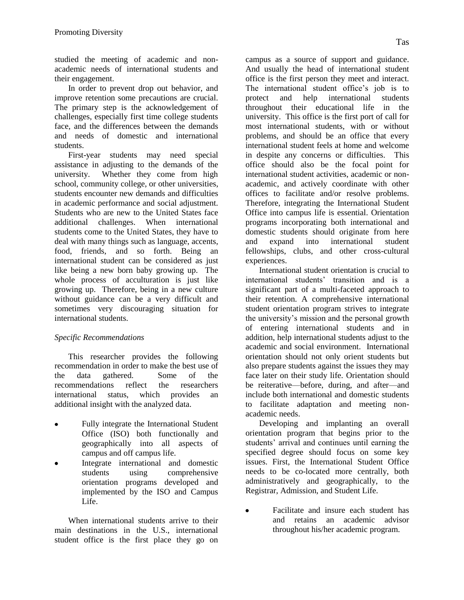studied the meeting of academic and nonacademic needs of international students and their engagement.

In order to prevent drop out behavior, and improve retention some precautions are crucial. The primary step is the acknowledgement of challenges, especially first time college students face, and the differences between the demands and needs of domestic and international students.

First-year students may need special assistance in adjusting to the demands of the university. Whether they come from high school, community college, or other universities, students encounter new demands and difficulties in academic performance and social adjustment. Students who are new to the United States face additional challenges. When international students come to the United States, they have to deal with many things such as language, accents, food, friends, and so forth. Being an international student can be considered as just like being a new born baby growing up. The whole process of acculturation is just like growing up. Therefore, being in a new culture without guidance can be a very difficult and sometimes very discouraging situation for international students.

# *Specific Recommendations*

This researcher provides the following recommendation in order to make the best use of the data gathered. Some of the recommendations reflect the researchers international status, which provides an additional insight with the analyzed data.

- Fully integrate the International Student Office (ISO) both functionally and geographically into all aspects of campus and off campus life.
- Integrate international and domestic students using comprehensive orientation programs developed and implemented by the ISO and Campus Life.

When international students arrive to their main destinations in the U.S., international student office is the first place they go on

campus as a source of support and guidance. And usually the head of international student office is the first person they meet and interact. The international student office's job is to protect and help international students throughout their educational life in the university. This office is the first port of call for most international students, with or without problems, and should be an office that every international student feels at home and welcome in despite any concerns or difficulties. This office should also be the focal point for international student activities, academic or nonacademic, and actively coordinate with other offices to facilitate and/or resolve problems. Therefore, integrating the International Student Office into campus life is essential. Orientation programs incorporating both international and domestic students should originate from here and expand into international student fellowships, clubs, and other cross-cultural experiences.

International student orientation is crucial to international students' transition and is a significant part of a multi-faceted approach to their retention. A comprehensive international student orientation program strives to integrate the university's mission and the personal growth of entering international students and in addition, help international students adjust to the academic and social environment. International orientation should not only orient students but also prepare students against the issues they may face later on their study life. Orientation should be reiterative—before, during, and after—and include both international and domestic students to facilitate adaptation and meeting nonacademic needs.

Developing and implanting an overall orientation program that begins prior to the students' arrival and continues until earning the specified degree should focus on some key issues. First, the International Student Office needs to be co-located more centrally, both administratively and geographically, to the Registrar, Admission, and Student Life.

Facilitate and insure each student has and retains an academic advisor throughout his/her academic program.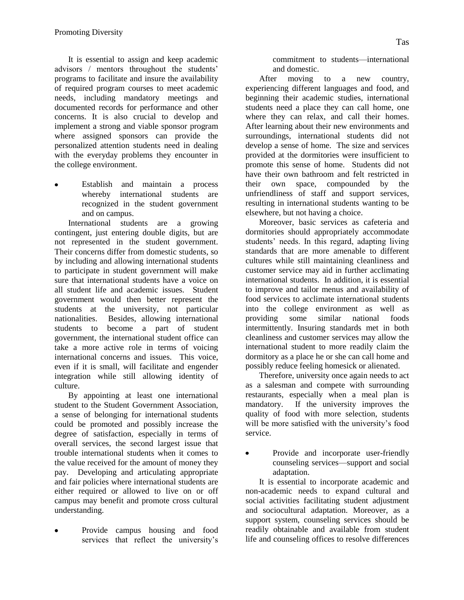It is essential to assign and keep academic advisors / mentors throughout the students' programs to facilitate and insure the availability of required program courses to meet academic needs, including mandatory meetings and documented records for performance and other concerns. It is also crucial to develop and implement a strong and viable sponsor program where assigned sponsors can provide the personalized attention students need in dealing with the everyday problems they encounter in the college environment.

Establish and maintain a process whereby international students are recognized in the student government and on campus.

International students are a growing contingent, just entering double digits, but are not represented in the student government. Their concerns differ from domestic students, so by including and allowing international students to participate in student government will make sure that international students have a voice on all student life and academic issues. Student government would then better represent the students at the university, not particular nationalities. Besides, allowing international students to become a part of student government, the international student office can take a more active role in terms of voicing international concerns and issues. This voice, even if it is small, will facilitate and engender integration while still allowing identity of culture.

By appointing at least one international student to the Student Government Association, a sense of belonging for international students could be promoted and possibly increase the degree of satisfaction, especially in terms of overall services, the second largest issue that trouble international students when it comes to the value received for the amount of money they pay. Developing and articulating appropriate and fair policies where international students are either required or allowed to live on or off campus may benefit and promote cross cultural understanding.

Provide campus housing and food services that reflect the university's

commitment to students—international and domestic.

After moving to a new country, experiencing different languages and food, and beginning their academic studies, international students need a place they can call home, one where they can relax, and call their homes. After learning about their new environments and surroundings, international students did not develop a sense of home. The size and services provided at the dormitories were insufficient to promote this sense of home. Students did not have their own bathroom and felt restricted in their own space, compounded by the unfriendliness of staff and support services, resulting in international students wanting to be elsewhere, but not having a choice.

Moreover, basic services as cafeteria and dormitories should appropriately accommodate students' needs. In this regard, adapting living standards that are more amenable to different cultures while still maintaining cleanliness and customer service may aid in further acclimating international students. In addition, it is essential to improve and tailor menus and availability of food services to acclimate international students into the college environment as well as providing some similar national foods intermittently. Insuring standards met in both cleanliness and customer services may allow the international student to more readily claim the dormitory as a place he or she can call home and possibly reduce feeling homesick or alienated.

Therefore, university once again needs to act as a salesman and compete with surrounding restaurants, especially when a meal plan is mandatory. If the university improves the quality of food with more selection, students will be more satisfied with the university's food service.

Provide and incorporate user-friendly  $\bullet$ counseling services—support and social adaptation.

It is essential to incorporate academic and non-academic needs to expand cultural and social activities facilitating student adjustment and sociocultural adaptation. Moreover, as a support system, counseling services should be readily obtainable and available from student life and counseling offices to resolve differences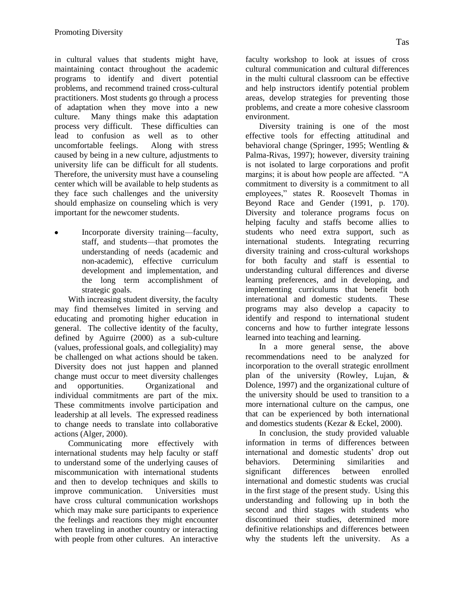in cultural values that students might have, maintaining contact throughout the academic programs to identify and divert potential problems, and recommend trained cross-cultural practitioners. Most students go through a process of adaptation when they move into a new culture. Many things make this adaptation process very difficult. These difficulties can lead to confusion as well as to other uncomfortable feelings. Along with stress caused by being in a new culture, adjustments to university life can be difficult for all students. Therefore, the university must have a counseling center which will be available to help students as they face such challenges and the university should emphasize on counseling which is very important for the newcomer students.

Incorporate diversity training—faculty, staff, and students—that promotes the understanding of needs (academic and non-academic), effective curriculum development and implementation, and the long term accomplishment of strategic goals.

With increasing student diversity, the faculty may find themselves limited in serving and educating and promoting higher education in general. The collective identity of the faculty, defined by Aguirre (2000) as a sub-culture (values, professional goals, and collegiality) may be challenged on what actions should be taken. Diversity does not just happen and planned change must occur to meet diversity challenges and opportunities. Organizational and individual commitments are part of the mix. These commitments involve participation and leadership at all levels. The expressed readiness to change needs to translate into collaborative actions (Alger, 2000).

Communicating more effectively with international students may help faculty or staff to understand some of the underlying causes of miscommunication with international students and then to develop techniques and skills to improve communication. Universities must have cross cultural communication workshops which may make sure participants to experience the feelings and reactions they might encounter when traveling in another country or interacting with people from other cultures. An interactive

faculty workshop to look at issues of cross cultural communication and cultural differences in the multi cultural classroom can be effective and help instructors identify potential problem areas, develop strategies for preventing those problems, and create a more cohesive classroom environment.

Diversity training is one of the most effective tools for effecting attitudinal and behavioral change (Springer, 1995; Wentling & Palma-Rivas, 1997); however, diversity training is not isolated to large corporations and profit margins; it is about how people are affected. "A commitment to diversity is a commitment to all employees," states R. Roosevelt Thomas in Beyond Race and Gender (1991, p. 170). Diversity and tolerance programs focus on helping faculty and staffs become allies to students who need extra support, such as international students. Integrating recurring diversity training and cross-cultural workshops for both faculty and staff is essential to understanding cultural differences and diverse learning preferences, and in developing, and implementing curriculums that benefit both international and domestic students. These programs may also develop a capacity to identify and respond to international student concerns and how to further integrate lessons learned into teaching and learning.

In a more general sense, the above recommendations need to be analyzed for incorporation to the overall strategic enrollment plan of the university (Rowley, Lujan, & Dolence, 1997) and the organizational culture of the university should be used to transition to a more international culture on the campus, one that can be experienced by both international and domestics students (Kezar & Eckel, 2000).

In conclusion, the study provided valuable information in terms of differences between international and domestic students' drop out behaviors. Determining similarities and significant differences between enrolled international and domestic students was crucial in the first stage of the present study. Using this understanding and following up in both the second and third stages with students who discontinued their studies, determined more definitive relationships and differences between why the students left the university. As a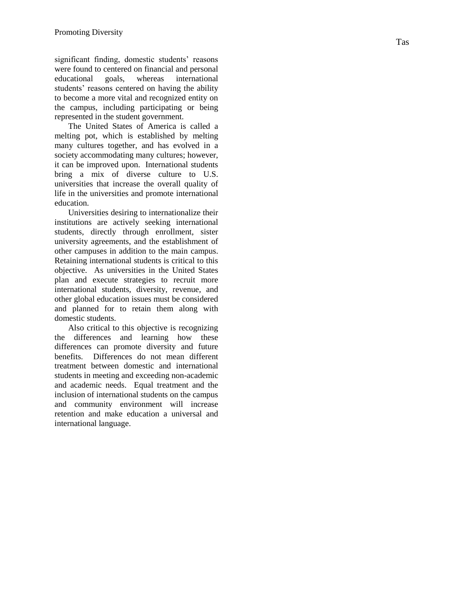significant finding, domestic students' reasons were found to centered on financial and personal educational goals, whereas international students' reasons centered on having the ability to become a more vital and recognized entity on the campus, including participating or being represented in the student government.

The United States of America is called a melting pot, which is established by melting many cultures together, and has evolved in a society accommodating many cultures; however, it can be improved upon. International students bring a mix of diverse culture to U.S. universities that increase the overall quality of life in the universities and promote international education.

Universities desiring to internationalize their institutions are actively seeking international students, directly through enrollment, sister university agreements, and the establishment of other campuses in addition to the main campus. Retaining international students is critical to this objective. As universities in the United States plan and execute strategies to recruit more international students, diversity, revenue, and other global education issues must be considered and planned for to retain them along with domestic students.

Also critical to this objective is recognizing the differences and learning how these differences can promote diversity and future benefits. Differences do not mean different treatment between domestic and international students in meeting and exceeding non -academic and academic needs. Equal treatment and the inclusion of international students on the campus and community environment will increase retention and make education a universal and international language.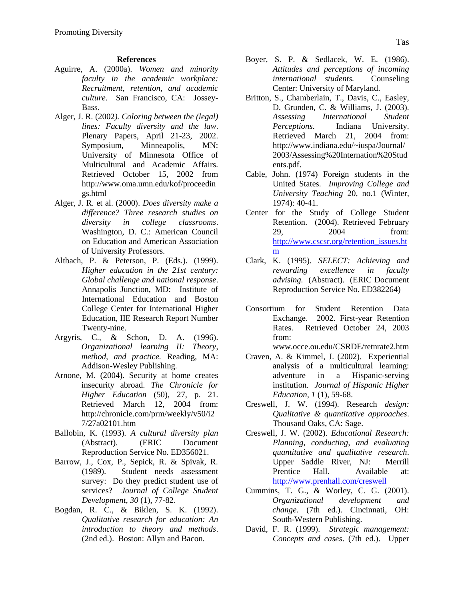## **References**

- Aguirre, A. (2000a). *Women and minority faculty in the academic workplace: Recruitment, retention, and academic culture*. San Francisco, CA: Jossey-Bass.
- Alger, J. R. (2002*). Coloring between the (legal) lines: Faculty diversity and the law*. Plenary Papers, April 21-23, 2002. Symposium, Minneapolis, MN: University of Minnesota Office of Multicultural and Academic Affairs. Retrieved October 15, 2002 from http://www.oma.umn.edu/kof/proceedin gs.html
- Alger, J. R. et al. (2000). *Does diversity make a difference? Three research studies on diversity in college classrooms*. Washington, D. C.: American Council on Education and American Association of University Professors.
- Altbach, P. & Peterson, P. (Eds.). (1999). *Higher education in the 21st century: Global challenge and national response*. Annapolis Junction, MD: Institute of International Education and Boston College Center for International Higher Education, IIE Research Report Number Twenty-nine.
- Argyris, C., & Schon, D. A. (1996). *Organizational learning II: Theory, method, and practice.* Reading, MA: Addison-Wesley Publishing.
- Arnone, M. (2004). Security at home creates insecurity abroad. *The Chronicle for Higher Education* (50), 27, p. 21. Retrieved March 12, 2004 from: http://chronicle.com/prm/weekly/v50/i2 7/27a02101.htm
- Ballobin, K. (1993). *A cultural diversity plan* (Abstract). (ERIC Document Reproduction Service No. ED356021.
- Barrow, J., Cox, P., Sepick, R. & Spivak, R. (1989). Student needs assessment survey: Do they predict student use of services? *Journal of College Student Development, 30* (1), 77-82.
- Bogdan, R. C., & Biklen, S. K. (1992). *Qualitative research for education: An introduction to theory and methods*. (2nd ed.). Boston: Allyn and Bacon.
- Boyer, S. P. & Sedlacek, W. E. (1986). *Attitudes and perceptions of incoming international students.* Counseling Center: University of Maryland.
- Britton, S., Chamberlain, T., Davis, C., Easley, D. Grunden, C. & Williams, J. (2003). *Assessing International Student Perceptions*. Indiana University. Retrieved March 21, 2004 from: http://www.indiana.edu/~iuspa/Journal/ 2003/Assessing%20Internation%20Stud ents.pdf.
- Cable, John. (1974) Foreign students in the United States. *Improving College and University Teaching* 20, no.1 (Winter, 1974): 40-41.
- Center for the Study of College Student Retention. (2004). Retrieved February 29, 2004 from: [http://www.cscsr.org/retention\\_issues.ht](http://www.cscsr.org/retention_issues.htm) [m](http://www.cscsr.org/retention_issues.htm)
- Clark, K. (1995). *SELECT: Achieving and rewarding excellence in faculty advising.* (Abstract). (ERIC Document Reproduction Service No. ED382264)
- Consortium for Student Retention Data Exchange. 2002. First-year Retention Rates. Retrieved October 24, 2003 from:
	- [www.occe.ou.edu/CSRDE/retnrate2.htm](http://www.occe.ou.edu/CSRDE/retnrate2.htm)
- Craven, A. & Kimmel, J. (2002). Experiential analysis of a multicultural learning: adventure in a Hispanic-serving institution. *Journal of Hispanic Higher Education*, *1* (1), 59-68.
- Creswell, J. W. (1994). Research *design: Qualitative & quantitative approaches*. Thousand Oaks, CA: Sage.
- Creswell, J. W. (2002). *Educational Research: Planning, conducting, and evaluating quantitative and qualitative research*. Upper Saddle River, NJ: Merrill Prentice Hall. Available at: <http://www.prenhall.com/creswell>
- Cummins, T. G., & Worley, C. G. (2001). *Organizational development and change*. (7th ed.). Cincinnati, OH: South-Western Publishing.
- David, F. R. (1999). *Strategic management: Concepts and cases*. (7th ed.). Upper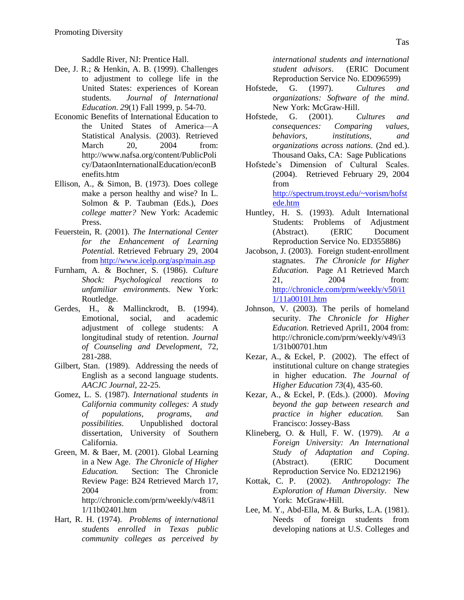Saddle River, NJ: Prentice Hall.

- Dee, J. R.; & Henkin, A. B. (1999). Challenges to adjustment to college life in the United States: experiences of Korean students. *Journal of International Education*. *29*(1) Fall 1999, p. 54-70.
- Economic Benefits of International Education to the United States of America—A Statistical Analysis. (2003). Retrieved March 20, 2004 from: http://www.nafsa.org/content/PublicPoli cy/DataonInternationalEducation/econB enefits.htm
- Ellison, A., & Simon, B. (1973). Does college make a person healthy and wise? In L. Solmon & P. Taubman (Eds.), *Does college matter?* New York: Academic Press.
- Feuerstein, R. (2001). *The International Center for the Enhancement of Learning Potentia*l. Retrieved February 29, 2004 from [http://www.icelp.org/asp/main.asp](http://www.icelp.org/asp/main.aspF)
- Furnham, A. & Bochner, S. (1986). *Culture Shock: Psychological reactions to unfamiliar environments.* New York: Routledge.
- Gerdes, H., & Mallinckrodt, B. (1994). Emotional, social, and academic adjustment of college students: A longitudinal study of retention. *Journal of Counseling and Development*, 72, 281-288.
- Gilbert, Stan. (1989). Addressing the needs of English as a second language students. *AACJC Journal*, 22-25.
- Gomez, L. S. (1987). *International students in California community colleges: A study of populations, programs, and possibilities*. Unpublished doctoral dissertation, University of Southern California.
- Green, M. & Baer, M. (2001). Global Learning in a New Age. *The Chronicle of Higher Education.* Section: The Chronicle Review Page: B24 Retrieved March 17, 2004 from: http://chronicle.com/prm/weekly/v48/i1 1/11b02401.htm
- Hart, R. H. (1974). *Problems of international students enrolled in Texas public community colleges as perceived by*

*international students and international student advisors*. (ERIC Document Reproduction Service No. ED096599)

- Hofstede, G. (1997). *Cultures and organizations: Software of the mind*. New York: McGraw-Hill.
- Hofstede, G. (2001). *Cultures and consequences: Comparing values, behaviors, institutions, and organizations across nations*. (2nd ed.). Thousand Oaks, CA: Sage Publications
- Hofstede's Dimension of Cultural Scales. (2004). Retrieved February 29, 2004 from [http://spectrum.troyst.edu/~vorism/hofst](http://spectrum.troyst.edu/~vorism/hofstede.htm)

[ede.htm](http://spectrum.troyst.edu/~vorism/hofstede.htm)

- Huntley, H. S. (1993). Adult International Students: Problems of Adjustment (Abstract). (ERIC Document Reproduction Service No. ED355886)
- Jacobson, J. (2003). Foreign student-enrollment stagnates. *The Chronicle for Higher Education.* Page A1 Retrieved March 21, 2004 from: [http://chronicle.com/prm/weekly/v50/i1](http://chronicle.com/prm/weekly/v50/i11/11a00101.htm) [1/11a00101.htm](http://chronicle.com/prm/weekly/v50/i11/11a00101.htm)
- Johnson, V. (2003). The perils of homeland security. *The Chronicle for Higher Education.* Retrieved April1, 2004 from: http://chronicle.com/prm/weekly/v49/i3 1/31b00701.htm
- Kezar, A., & Eckel, P. (2002). The effect of institutional culture on change strategies in higher education. *The Journal of Higher Education 73*(4), 435-60.
- Kezar, A., & Eckel, P. (Eds.). (2000). *Moving beyond the gap between research and practice in higher education.* San Francisco: Jossey-Bass
- Klineberg, O. & Hull, F. W. (1979). *At a Foreign University: An International Study of Adaptation and Coping*. (Abstract). (ERIC Document Reproduction Service No. ED212196)
- Kottak, C. P. (2002). *Anthropology: The Exploration of Human Diversity*. New York: McGraw-Hill.
- Lee, M. Y., Abd-Ella, M. & Burks, L.A. (1981). Needs of foreign students from developing nations at U.S. Colleges and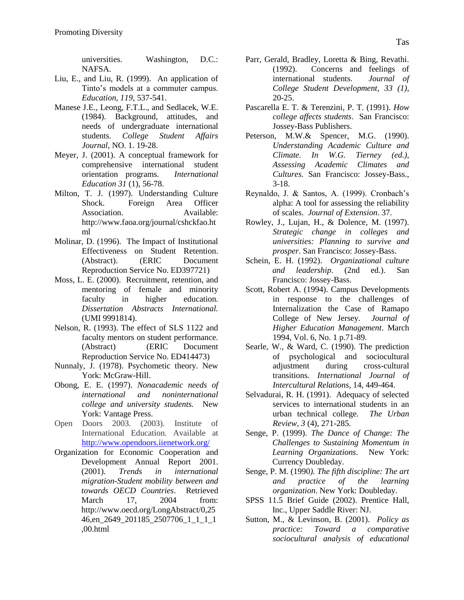universities. Washington, D.C.: NAFSA.

- Liu, E., and Liu, R. (1999). An application of Tinto's models at a commuter campus. *Education, 119*, 537-541.
- Manese J.E., Leong, F.T.L., and Sedlacek, W.E. (1984). Background, attitudes, and needs of undergraduate international students. *College Student Affairs Journal*, NO. 1. 19-28.
- Meyer, J. (2001). A conceptual framework for comprehensive international student orientation programs. *International Education 31* (1), 56-78.
- Milton, T. J. (1997). Understanding Culture Shock. Foreign Area Officer Association. Available: [http://www.faoa.org/journal/cshckfao.ht](http://www.faoa.org/journal/cshckfao.html) [ml](http://www.faoa.org/journal/cshckfao.html)
- Molinar, D. (1996). The Impact of Institutional Effectiveness on Student Retention. (Abstract). (ERIC Document Reproduction Service No. ED397721)
- Moss, L. E. (2000). Recruitment, retention, and mentoring of female and minority faculty in higher education*. Dissertation Abstracts International.* (UMI 9991814).
- Nelson, R. (1993). The effect of SLS 1122 and faculty mentors on student performance. (Abstract) (ERIC Document Reproduction Service No. ED414473)
- Nunnaly, J. (1978). Psychometic theory. New York: McGraw-Hill.
- Obong, E. E. (1997). *Nonacademic needs of international and noninternational college and university students.* New York: Vantage Press.
- Open Doors 2003. (2003). Institute of International Education. Available at <http://www.opendoors.iienetwork.org/>
- Organization for Economic Cooperation and Development Annual Report 2001. (2001). *Trends in international migration-Student mobility between and towards OECD Countries*. Retrieved March 17, 2004 from: http://www.oecd.org/LongAbstract/0,25 46,en 2649 201185 2507706 1 1 1 1 ,00.html
- Parr, Gerald, Bradley, Loretta & Bing, Revathi. (1992). Concerns and feelings of international students. *Journal of College Student Development, 33 (1)*, 20-25.
- Pascarella E. T. & Terenzini, P. T. (1991). *How college affects students*. San Francisco: Jossey-Bass Publishers.
- Peterson, M.W.& Spencer, M.G. (1990). *Understanding Academic Culture and Climate. In W.G. Tierney (ed.), Assessing Academic Climates and Cultures.* San Francisco: Jossey-Bass., 3-18.
- Reynaldo, J. & Santos, A. (1999). Cronbach's alpha: A tool for assessing the reliability of scales. *Journal of Extension*. 37.
- Rowley, J., Lujan, H., & Dolence, M. (1997). *Strategic change in colleges and universities: Planning to survive and prosper*. San Francisco: Jossey-Bass.
- Schein, E. H. (1992). *Organizational culture and leadership*. (2nd ed.). San Francisco: Jossey-Bass.
- Scott, Robert A. (1994). Campus Developments in response to the challenges of Internalization the Case of Ramapo College of New Jersey. *Journal of Higher Education Management*. March 1994, Vol. 6, No. 1 p.71-89.
- Searle, W., & Ward, C. (1990). The prediction of psychological and sociocultural adjustment during cross-cultural transitions. *International Journal of Intercultural Relations*, 14, 449-464.
- Selvadurai, R. H. (1991). Adequacy of selected services to international students in an urban technical college. *The Urban Review, 3* (4), 271-285.
- Senge, P. (1999). *The Dance of Change: The Challenges to Sustaining Momentum in Learning Organizations*. New York: Currency Doubleday.
- Senge, P. M. (1990*). The fifth discipline: The art and practice of the learning organization*. New York: Doubleday.
- SPSS 11.5 Brief Guide (2002). Prentice Hall, Inc., Upper Saddle River: NJ.
- Sutton, M., & Levinson, B. (2001). *Policy as practice: Toward a comparative sociocultural analysis of educational*